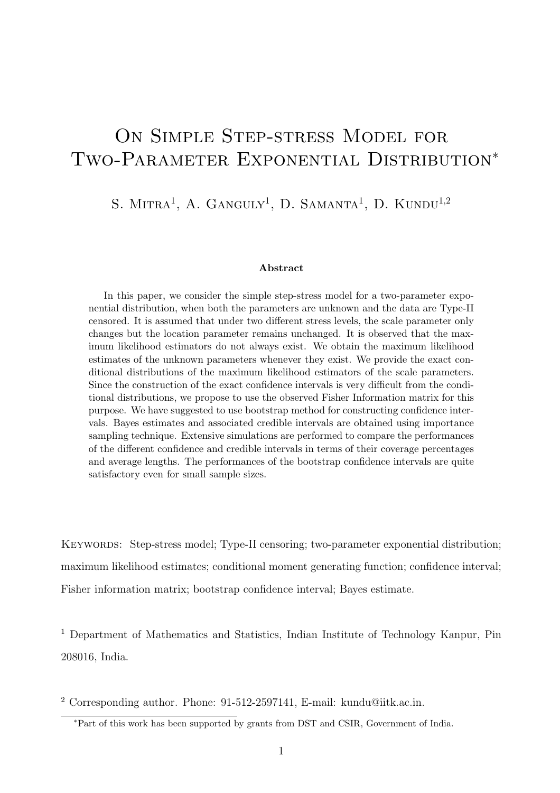# ON SIMPLE STEP-STRESS MODEL FOR Two-Parameter Exponential Distribution<sup>∗</sup>

## S. MITRA<sup>1</sup>, A. GANGULY<sup>1</sup>, D. SAMANTA<sup>1</sup>, D. KUNDU<sup>1,2</sup>

#### Abstract

In this paper, we consider the simple step-stress model for a two-parameter exponential distribution, when both the parameters are unknown and the data are Type-II censored. It is assumed that under two different stress levels, the scale parameter only changes but the location parameter remains unchanged. It is observed that the maximum likelihood estimators do not always exist. We obtain the maximum likelihood estimates of the unknown parameters whenever they exist. We provide the exact conditional distributions of the maximum likelihood estimators of the scale parameters. Since the construction of the exact confidence intervals is very difficult from the conditional distributions, we propose to use the observed Fisher Information matrix for this purpose. We have suggested to use bootstrap method for constructing confidence intervals. Bayes estimates and associated credible intervals are obtained using importance sampling technique. Extensive simulations are performed to compare the performances of the different confidence and credible intervals in terms of their coverage percentages and average lengths. The performances of the bootstrap confidence intervals are quite satisfactory even for small sample sizes.

KEYWORDS: Step-stress model; Type-II censoring; two-parameter exponential distribution; maximum likelihood estimates; conditional moment generating function; confidence interval; Fisher information matrix; bootstrap confidence interval; Bayes estimate.

<sup>1</sup> Department of Mathematics and Statistics, Indian Institute of Technology Kanpur, Pin 208016, India.

<sup>2</sup> Corresponding author. Phone: 91-512-2597141, E-mail: kundu@iitk.ac.in.

<sup>∗</sup>Part of this work has been supported by grants from DST and CSIR, Government of India.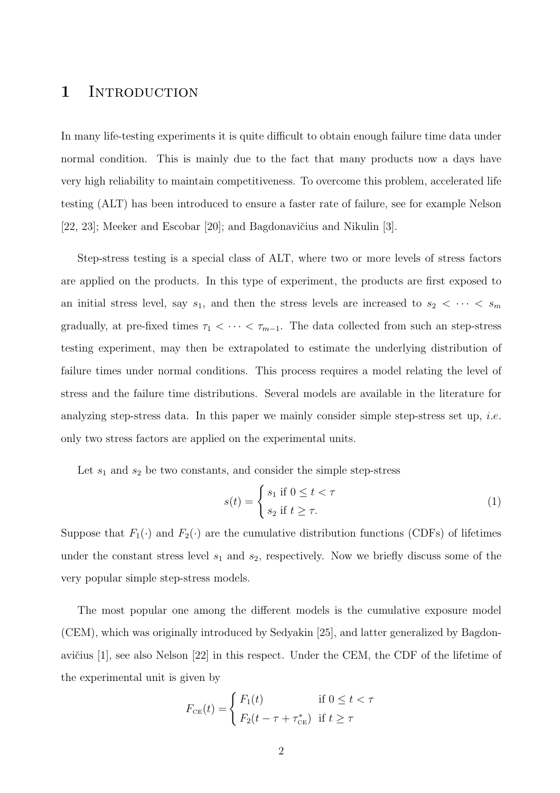## 1 INTRODUCTION

In many life-testing experiments it is quite difficult to obtain enough failure time data under normal condition. This is mainly due to the fact that many products now a days have very high reliability to maintain competitiveness. To overcome this problem, accelerated life testing (ALT) has been introduced to ensure a faster rate of failure, see for example Nelson [22, 23]; Meeker and Escobar [20]; and Bagdonavičius and Nikulin [3].

Step-stress testing is a special class of ALT, where two or more levels of stress factors are applied on the products. In this type of experiment, the products are first exposed to an initial stress level, say  $s_1$ , and then the stress levels are increased to  $s_2 < \cdots < s_m$ gradually, at pre-fixed times  $\tau_1 < \cdots < \tau_{m-1}$ . The data collected from such an step-stress testing experiment, may then be extrapolated to estimate the underlying distribution of failure times under normal conditions. This process requires a model relating the level of stress and the failure time distributions. Several models are available in the literature for analyzing step-stress data. In this paper we mainly consider simple step-stress set up, *i.e.* only two stress factors are applied on the experimental units.

Let  $s_1$  and  $s_2$  be two constants, and consider the simple step-stress

$$
s(t) = \begin{cases} s_1 \text{ if } 0 \le t < \tau \\ s_2 \text{ if } t \ge \tau. \end{cases}
$$
 (1)

Suppose that  $F_1(\cdot)$  and  $F_2(\cdot)$  are the cumulative distribution functions (CDFs) of lifetimes under the constant stress level  $s_1$  and  $s_2$ , respectively. Now we briefly discuss some of the very popular simple step-stress models.

The most popular one among the different models is the cumulative exposure model (CEM), which was originally introduced by Sedyakin [25], and latter generalized by Bagdonavičius  $[1]$ , see also Nelson  $[22]$  in this respect. Under the CEM, the CDF of the lifetime of the experimental unit is given by

$$
F_{\text{CE}}(t) = \begin{cases} F_1(t) & \text{if } 0 \le t < \tau \\ F_2(t - \tau + \tau_{\text{CE}}^*) & \text{if } t \ge \tau \end{cases}
$$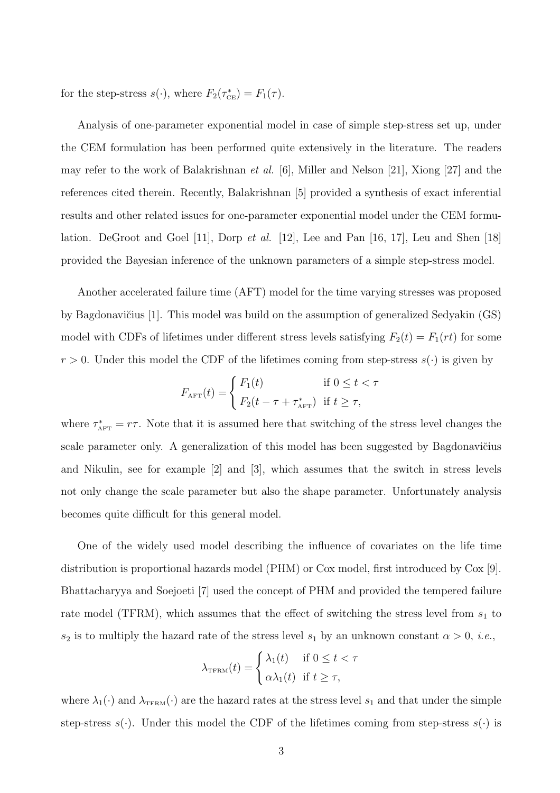for the step-stress  $s(\cdot)$ , where  $F_2(\tau_{\text{CE}}^*) = F_1(\tau)$ .

Analysis of one-parameter exponential model in case of simple step-stress set up, under the CEM formulation has been performed quite extensively in the literature. The readers may refer to the work of Balakrishnan et al. [6], Miller and Nelson [21], Xiong [27] and the references cited therein. Recently, Balakrishnan [5] provided a synthesis of exact inferential results and other related issues for one-parameter exponential model under the CEM formulation. DeGroot and Goel [11], Dorp et al. [12], Lee and Pan [16, 17], Leu and Shen [18] provided the Bayesian inference of the unknown parameters of a simple step-stress model.

Another accelerated failure time (AFT) model for the time varying stresses was proposed by Bagdonavičius  $[1]$ . This model was build on the assumption of generalized Sedyakin  $(GS)$ model with CDFs of lifetimes under different stress levels satisfying  $F_2(t) = F_1(rt)$  for some  $r > 0$ . Under this model the CDF of the lifetimes coming from step-stress  $s(\cdot)$  is given by

$$
F_{\text{AFT}}(t) = \begin{cases} F_1(t) & \text{if } 0 \le t < \tau \\ F_2(t - \tau + \tau_{\text{AFT}}^*) & \text{if } t \ge \tau, \end{cases}
$$

where  $\tau^*_{\text{AFT}} = r\tau$ . Note that it is assumed here that switching of the stress level changes the scale parameter only. A generalization of this model has been suggested by Bagdonavičius and Nikulin, see for example [2] and [3], which assumes that the switch in stress levels not only change the scale parameter but also the shape parameter. Unfortunately analysis becomes quite difficult for this general model.

One of the widely used model describing the influence of covariates on the life time distribution is proportional hazards model (PHM) or Cox model, first introduced by Cox [9]. Bhattacharyya and Soejoeti [7] used the concept of PHM and provided the tempered failure rate model (TFRM), which assumes that the effect of switching the stress level from  $s_1$  to  $s_2$  is to multiply the hazard rate of the stress level  $s_1$  by an unknown constant  $\alpha > 0$ , *i.e.*,

$$
\lambda_{\text{TFRM}}(t) = \begin{cases} \lambda_1(t) & \text{if } 0 \le t < \tau \\ \alpha \lambda_1(t) & \text{if } t \ge \tau, \end{cases}
$$

where  $\lambda_1(\cdot)$  and  $\lambda_{\text{TFRM}}(\cdot)$  are the hazard rates at the stress level  $s_1$  and that under the simple step-stress  $s(\cdot)$ . Under this model the CDF of the lifetimes coming from step-stress  $s(\cdot)$  is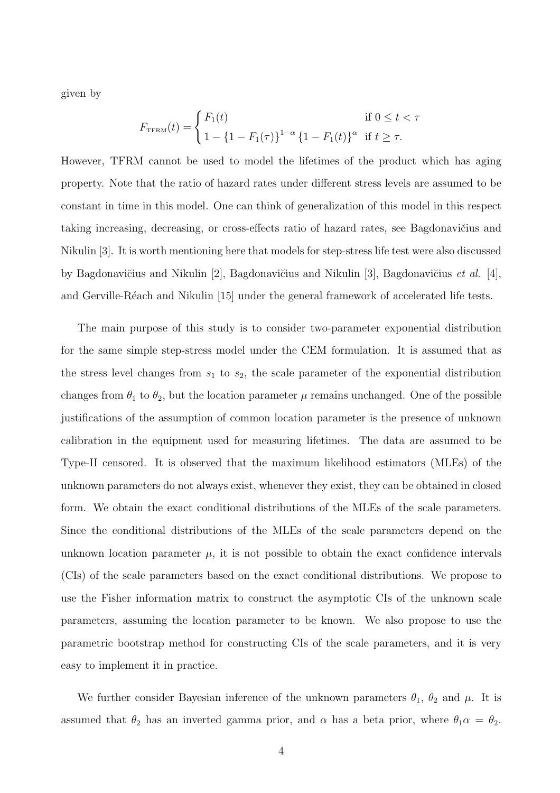given by

$$
F_{\text{TFRM}}(t) = \begin{cases} F_1(t) & \text{if } 0 \le t < \tau \\ 1 - \{1 - F_1(\tau)\}^{1-\alpha} \{1 - F_1(t)\}^\alpha & \text{if } t \ge \tau. \end{cases}
$$

However, TFRM cannot be used to model the lifetimes of the product which has aging property. Note that the ratio of hazard rates under different stress levels are assumed to be constant in time in this model. One can think of generalization of this model in this respect taking increasing, decreasing, or cross-effects ratio of hazard rates, see Bagdonavičius and Nikulin [3]. It is worth mentioning here that models for step-stress life test were also discussed by Bagdonavičius and Nikulin [2], Bagdonavičius and Nikulin [3], Bagdonavičius *et al.* [4], and Gerville-Réach and Nikulin [15] under the general framework of accelerated life tests.

The main purpose of this study is to consider two-parameter exponential distribution for the same simple step-stress model under the CEM formulation. It is assumed that as the stress level changes from  $s_1$  to  $s_2$ , the scale parameter of the exponential distribution changes from  $\theta_1$  to  $\theta_2$ , but the location parameter  $\mu$  remains unchanged. One of the possible justifications of the assumption of common location parameter is the presence of unknown calibration in the equipment used for measuring lifetimes. The data are assumed to be Type-II censored. It is observed that the maximum likelihood estimators (MLEs) of the unknown parameters do not always exist, whenever they exist, they can be obtained in closed form. We obtain the exact conditional distributions of the MLEs of the scale parameters. Since the conditional distributions of the MLEs of the scale parameters depend on the unknown location parameter  $\mu$ , it is not possible to obtain the exact confidence intervals (CIs) of the scale parameters based on the exact conditional distributions. We propose to use the Fisher information matrix to construct the asymptotic CIs of the unknown scale parameters, assuming the location parameter to be known. We also propose to use the parametric bootstrap method for constructing CIs of the scale parameters, and it is very easy to implement it in practice.

We further consider Bayesian inference of the unknown parameters  $\theta_1$ ,  $\theta_2$  and  $\mu$ . It is assumed that  $\theta_2$  has an inverted gamma prior, and  $\alpha$  has a beta prior, where  $\theta_1 \alpha = \theta_2$ .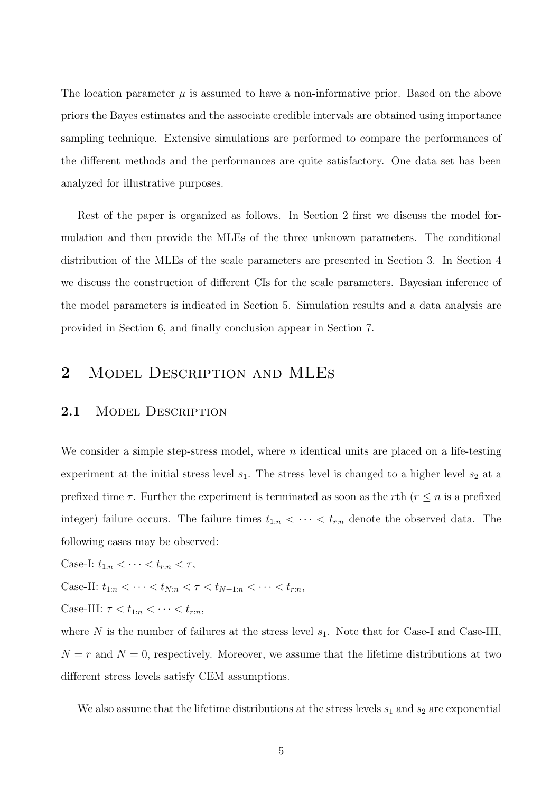The location parameter  $\mu$  is assumed to have a non-informative prior. Based on the above priors the Bayes estimates and the associate credible intervals are obtained using importance sampling technique. Extensive simulations are performed to compare the performances of the different methods and the performances are quite satisfactory. One data set has been analyzed for illustrative purposes.

Rest of the paper is organized as follows. In Section 2 first we discuss the model formulation and then provide the MLEs of the three unknown parameters. The conditional distribution of the MLEs of the scale parameters are presented in Section 3. In Section 4 we discuss the construction of different CIs for the scale parameters. Bayesian inference of the model parameters is indicated in Section 5. Simulation results and a data analysis are provided in Section 6, and finally conclusion appear in Section 7.

# 2 MODEL DESCRIPTION AND MLES

### 2.1 MODEL DESCRIPTION

We consider a simple step-stress model, where  $n$  identical units are placed on a life-testing experiment at the initial stress level  $s_1$ . The stress level is changed to a higher level  $s_2$  at a prefixed time  $\tau$ . Further the experiment is terminated as soon as the rth ( $r \leq n$  is a prefixed integer) failure occurs. The failure times  $t_{1:n} < \cdots < t_{r:n}$  denote the observed data. The following cases may be observed:

Case-I:  $t_{1:n} < \cdots < t_{r:n} < \tau$ ,

Case-II:  $t_{1:n} < \cdots < t_{N:n} < \tau < t_{N+1:n} < \cdots < t_{r:n}$ ,

Case-III:  $\tau < t_{1:n} < \cdots < t_{r:n}$ ,

where N is the number of failures at the stress level  $s_1$ . Note that for Case-I and Case-III,  $N = r$  and  $N = 0$ , respectively. Moreover, we assume that the lifetime distributions at two different stress levels satisfy CEM assumptions.

We also assume that the lifetime distributions at the stress levels  $s_1$  and  $s_2$  are exponential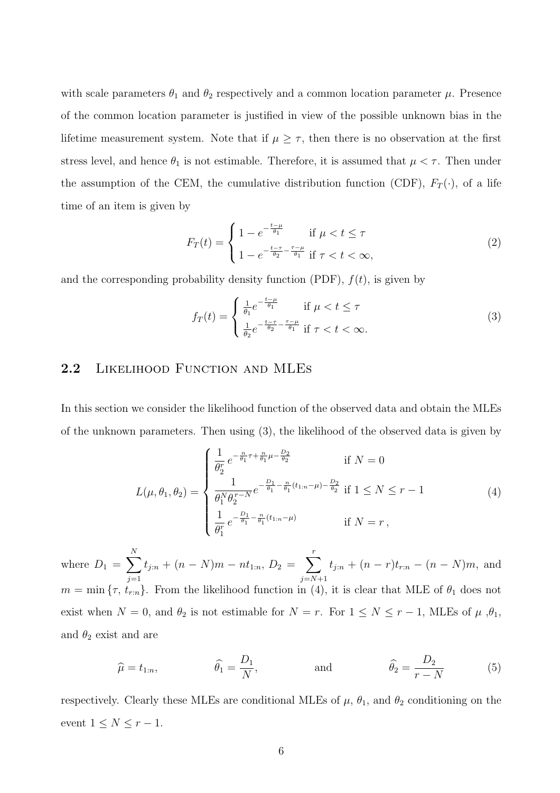with scale parameters  $\theta_1$  and  $\theta_2$  respectively and a common location parameter  $\mu$ . Presence of the common location parameter is justified in view of the possible unknown bias in the lifetime measurement system. Note that if  $\mu \geq \tau$ , then there is no observation at the first stress level, and hence  $\theta_1$  is not estimable. Therefore, it is assumed that  $\mu < \tau$ . Then under the assumption of the CEM, the cumulative distribution function (CDF),  $F_T(\cdot)$ , of a life time of an item is given by

$$
F_T(t) = \begin{cases} 1 - e^{-\frac{t - \mu}{\theta_1}} & \text{if } \mu < t \le \tau \\ 1 - e^{-\frac{t - \tau}{\theta_2} - \frac{\tau - \mu}{\theta_1}} & \text{if } \tau < t < \infty, \end{cases}
$$
 (2)

and the corresponding probability density function (PDF),  $f(t)$ , is given by

$$
f_T(t) = \begin{cases} \frac{1}{\theta_1} e^{-\frac{t-\mu}{\theta_1}} & \text{if } \mu < t \le \tau\\ \frac{1}{\theta_2} e^{-\frac{t-\tau}{\theta_2} - \frac{\tau-\mu}{\theta_1}} & \text{if } \tau < t < \infty. \end{cases} \tag{3}
$$

## 2.2 LIKELIHOOD FUNCTION AND MLES

In this section we consider the likelihood function of the observed data and obtain the MLEs of the unknown parameters. Then using (3), the likelihood of the observed data is given by

$$
L(\mu, \theta_1, \theta_2) = \begin{cases} \frac{1}{\theta_2^r} e^{-\frac{n}{\theta_1} \tau + \frac{n}{\theta_1} \mu - \frac{D_2}{\theta_2}} & \text{if } N = 0\\ \frac{1}{\theta_1^N \theta_2^{r - N}} e^{-\frac{D_1}{\theta_1} - \frac{n}{\theta_1} (t_{1:n} - \mu) - \frac{D_2}{\theta_2}} & \text{if } 1 \le N \le r - 1\\ \frac{1}{\theta_1^r} e^{-\frac{D_1}{\theta_1} - \frac{n}{\theta_1} (t_{1:n} - \mu)} & \text{if } N = r, \end{cases}
$$
(4)

where  $D_1 = \sum_{n=1}^{N}$  $j=1$  $t_{j:n} + (n-N)m - nt_{1:n}, D_2 = \sum_{i=1}^r$  $j = N+1$  $t_{j:n} + (n-r)t_{r:n} - (n-N)m$ , and  $m = \min \{\tau, t_{r:n}\}.$  From the likelihood function in (4), it is clear that MLE of  $\theta_1$  does not exist when  $N = 0$ , and  $\theta_2$  is not estimable for  $N = r$ . For  $1 \leq N \leq r - 1$ , MLEs of  $\mu$ ,  $\theta_1$ , and  $\theta_2$  exist and are

$$
\widehat{\mu} = t_{1:n}, \qquad \widehat{\theta}_1 = \frac{D_1}{N}, \qquad \text{and} \qquad \widehat{\theta}_2 = \frac{D_2}{r - N} \qquad (5)
$$

respectively. Clearly these MLEs are conditional MLEs of  $\mu$ ,  $\theta_1$ , and  $\theta_2$  conditioning on the event  $1 \leq N \leq r-1$ .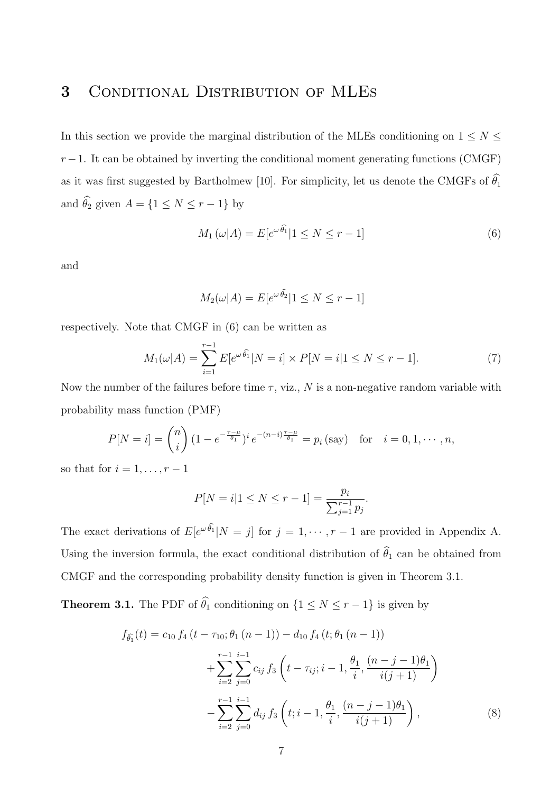# 3 Conditional Distribution of MLEs

In this section we provide the marginal distribution of the MLEs conditioning on  $1 \leq N \leq$  $r-1$ . It can be obtained by inverting the conditional moment generating functions (CMGF) as it was first suggested by Bartholmew [10]. For simplicity, let us denote the CMGFs of  $\widehat{\theta_1}$ and  $\widehat{\theta}_2$  given  $A = \{1 \leq N \leq r - 1\}$  by

$$
M_1(\omega|A) = E[e^{\omega \widehat{\theta}_1} | 1 \le N \le r - 1]
$$
\n(6)

and

$$
M_2(\omega|A) = E[e^{\omega \widehat{\theta}_2} | 1 \le N \le r - 1]
$$

respectively. Note that CMGF in (6) can be written as

$$
M_1(\omega|A) = \sum_{i=1}^{r-1} E[e^{\omega \widehat{\theta}_1} | N = i] \times P[N = i | 1 \le N \le r - 1]. \tag{7}
$$

Now the number of the failures before time  $\tau$ , viz., N is a non-negative random variable with probability mass function (PMF)

$$
P[N = i] = {n \choose i} (1 - e^{-\frac{\tau - \mu}{\theta_1}})^i e^{-(n-i)\frac{\tau - \mu}{\theta_1}} = p_i \text{ (say)} \text{ for } i = 0, 1, \cdots, n,
$$

so that for  $i = 1, \ldots, r - 1$ 

$$
P[N = i | 1 \le N \le r - 1] = \frac{p_i}{\sum_{j=1}^{r-1} p_j}.
$$

The exact derivations of  $E[e^{\omega \theta_1} | N = j]$  for  $j = 1, \dots, r - 1$  are provided in Appendix A. Using the inversion formula, the exact conditional distribution of  $\widehat{\theta}_1$  can be obtained from CMGF and the corresponding probability density function is given in Theorem 3.1.

**Theorem 3.1.** The PDF of  $\widehat{\theta}_1$  conditioning on  $\{1 \leq N \leq r-1\}$  is given by

$$
f_{\hat{\theta_1}}(t) = c_{10} f_4(t - \tau_{10}; \theta_1 (n-1)) - d_{10} f_4(t; \theta_1 (n-1))
$$
  
+ 
$$
\sum_{i=2}^{r-1} \sum_{j=0}^{i-1} c_{ij} f_3\left(t - \tau_{ij}; i-1, \frac{\theta_1}{i}; \frac{(n-j-1)\theta_1}{i(j+1)}\right)
$$
  
- 
$$
\sum_{i=2}^{r-1} \sum_{j=0}^{i-1} d_{ij} f_3\left(t; i-1, \frac{\theta_1}{i}; \frac{(n-j-1)\theta_1}{i(j+1)}\right),
$$
 (8)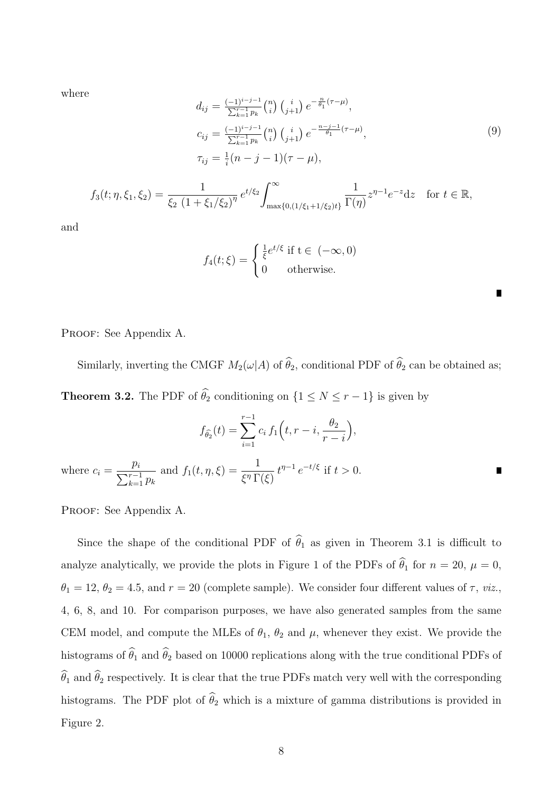where

$$
d_{ij} = \frac{(-1)^{i-j-1}}{\sum_{k=1}^{r-1} p_k} {n \choose i} {i \choose j+1} e^{-\frac{n}{\theta_1}(\tau-\mu)},
$$
  
\n
$$
c_{ij} = \frac{(-1)^{i-j-1}}{\sum_{k=1}^{r-1} p_k} {n \choose i} {i \choose j+1} e^{-\frac{n-j-1}{\theta_1}(\tau-\mu)},
$$
  
\n
$$
\tau_{ij} = \frac{1}{i} (n-j-1)(\tau-\mu),
$$
  
\n
$$
f_{\xi} = \frac{1}{\xi_2 (1 + \xi_1/\xi_2)^{\eta}} e^{t/\xi_2} \int_{\max\{0, (1/\xi_1 + 1/\xi_2)t\}}^{\infty} \frac{1}{\Gamma(\eta)} z^{\eta-1} e^{-z} dz \text{ for } t \in \mathbb{R},
$$
  
\n(9)

and

$$
f_4(t;\xi) = \begin{cases} \frac{1}{\xi}e^{t/\xi} \text{ if } t \in (-\infty,0) \\ 0 \text{ otherwise.} \end{cases}
$$

PROOF: See Appendix A.

 $f_3(t; \eta, \xi_1)$ 

Similarly, inverting the CMGF  $M_2(\omega|A)$  of  $\widehat{\theta}_2$ , conditional PDF of  $\widehat{\theta}_2$  can be obtained as; **Theorem 3.2.** The PDF of  $\widehat{\theta}_2$  conditioning on  $\{1 \leq N \leq r-1\}$  is given by

$$
f_{\hat{\theta_2}}(t) = \sum_{i=1}^{r-1} c_i f_1(t, r-i, \frac{\theta_2}{r-i}),
$$
  
where  $c_i = \frac{p_i}{\sum_{k=1}^{r-1} p_k}$  and  $f_1(t, \eta, \xi) = \frac{1}{\xi^{\eta} \Gamma(\xi)} t^{\eta-1} e^{-t/\xi}$  if  $t > 0$ .

PROOF: See Appendix A.

Since the shape of the conditional PDF of  $\hat{\theta}_1$  as given in Theorem 3.1 is difficult to analyze analytically, we provide the plots in Figure 1 of the PDFs of  $\hat{\theta}_1$  for  $n = 20, \mu = 0$ ,  $\theta_1 = 12, \theta_2 = 4.5$ , and  $r = 20$  (complete sample). We consider four different values of  $\tau$ , *viz.*, 4, 6, 8, and 10. For comparison purposes, we have also generated samples from the same CEM model, and compute the MLEs of  $\theta_1$ ,  $\theta_2$  and  $\mu$ , whenever they exist. We provide the histograms of  $\widehat{\theta}_1$  and  $\widehat{\theta}_2$  based on 10000 replications along with the true conditional PDFs of  $\widehat\theta_1$  and  $\widehat\theta_2$  respectively. It is clear that the true PDFs match very well with the corresponding histograms. The PDF plot of  $\widehat{\theta}_2$  which is a mixture of gamma distributions is provided in Figure 2.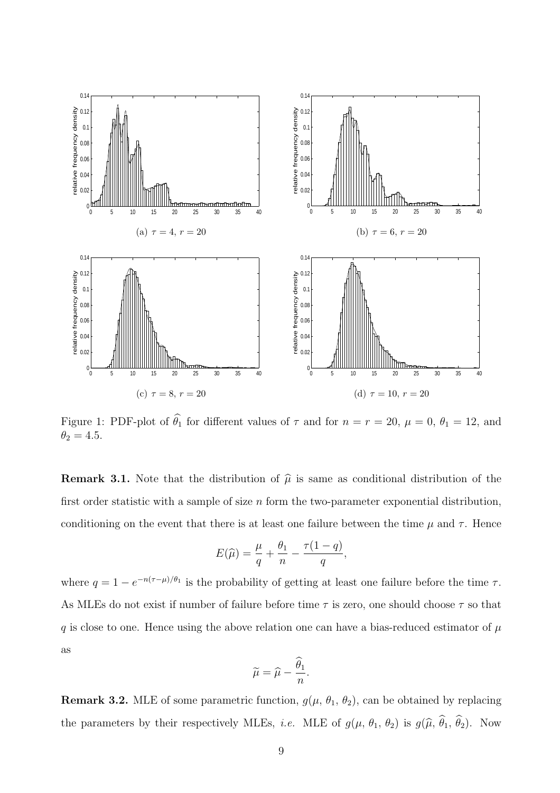

Figure 1: PDF-plot of  $\hat{\theta}_1$  for different values of  $\tau$  and for  $n = r = 20$ ,  $\mu = 0$ ,  $\theta_1 = 12$ , and  $\theta_2 = 4.5.$ 

**Remark 3.1.** Note that the distribution of  $\hat{\mu}$  is same as conditional distribution of the first order statistic with a sample of size  $n$  form the two-parameter exponential distribution, conditioning on the event that there is at least one failure between the time  $\mu$  and  $\tau$ . Hence

$$
E(\widehat{\mu}) = \frac{\mu}{q} + \frac{\theta_1}{n} - \frac{\tau(1-q)}{q},
$$

where  $q = 1 - e^{-n(\tau - \mu)/\theta_1}$  is the probability of getting at least one failure before the time  $\tau$ . As MLEs do not exist if number of failure before time  $\tau$  is zero, one should choose  $\tau$  so that q is close to one. Hence using the above relation one can have a bias-reduced estimator of  $\mu$ as

$$
\widetilde{\mu}=\widehat{\mu}-\frac{\widehat{\theta}_1}{n}.
$$

**Remark 3.2.** MLE of some parametric function,  $g(\mu, \theta_1, \theta_2)$ , can be obtained by replacing the parameters by their respectively MLEs, *i.e.* MLE of  $g(\mu, \theta_1, \theta_2)$  is  $g(\hat{\mu}, \hat{\theta}_1, \hat{\theta}_2)$ . Now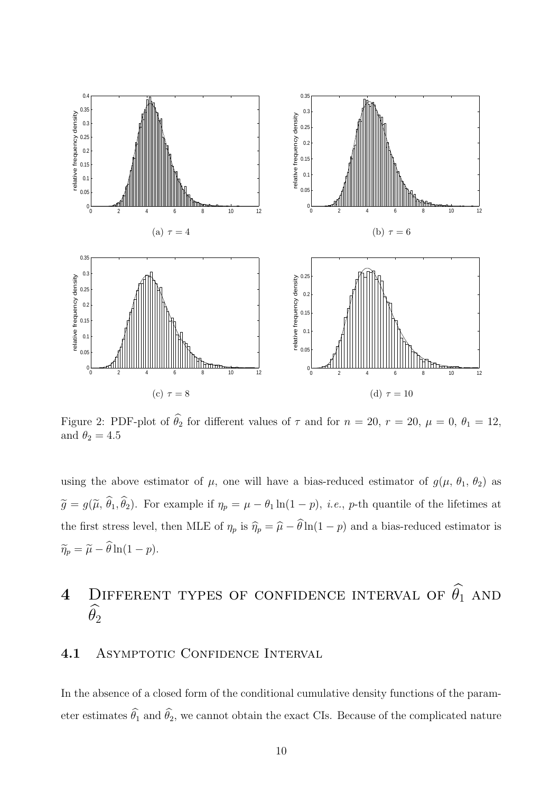

Figure 2: PDF-plot of  $\hat{\theta}_2$  for different values of  $\tau$  and for  $n = 20$ ,  $r = 20$ ,  $\mu = 0$ ,  $\theta_1 = 12$ , and  $\theta_2 = 4.5$ 

using the above estimator of  $\mu$ , one will have a bias-reduced estimator of  $g(\mu, \theta_1, \theta_2)$  as  $\tilde{g} = g(\tilde{\mu}, \hat{\theta}_1, \hat{\theta}_2)$ . For example if  $\eta_p = \mu - \theta_1 \ln(1-p)$ , *i.e.*, *p*-th quantile of the lifetimes at the first stress level, then MLE of  $\eta_p$  is  $\hat{\eta}_p = \hat{\mu} - \hat{\theta} \ln(1 - p)$  and a bias-reduced estimator is  $\widetilde{\eta}_p = \widetilde{\mu} - \widehat{\theta} \ln(1 - p).$ 

# 4 DIFFERENT TYPES OF CONFIDENCE INTERVAL OF  $\widehat{\theta_1}$  and  $\overline{\hat{\theta}}_2$

### 4.1 ASYMPTOTIC CONFIDENCE INTERVAL

In the absence of a closed form of the conditional cumulative density functions of the parameter estimates  $\widehat{\theta}_1$  and  $\widehat{\theta}_2$ , we cannot obtain the exact CIs. Because of the complicated nature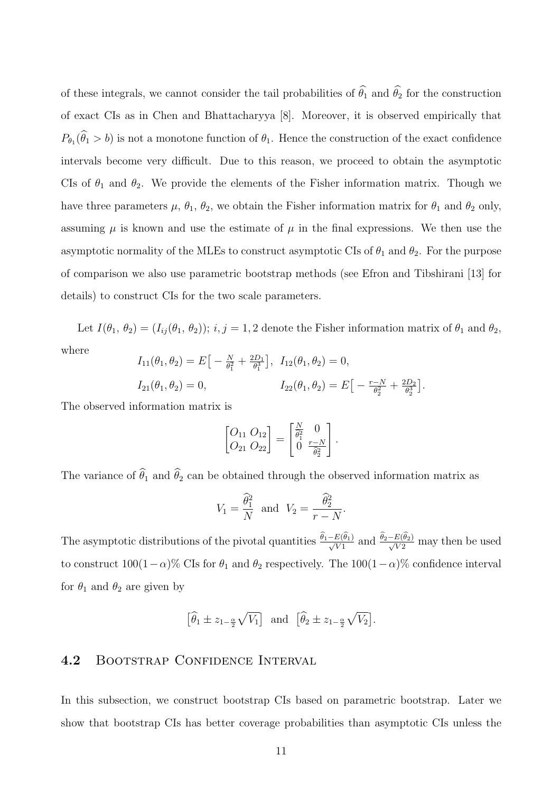of these integrals, we cannot consider the tail probabilities of  $\hat{\theta}_1$  and  $\hat{\theta}_2$  for the construction of exact CIs as in Chen and Bhattacharyya [8]. Moreover, it is observed empirically that  $P_{\theta_1}(\theta_1 > b)$  is not a monotone function of  $\theta_1$ . Hence the construction of the exact confidence intervals become very difficult. Due to this reason, we proceed to obtain the asymptotic CIs of  $\theta_1$  and  $\theta_2$ . We provide the elements of the Fisher information matrix. Though we have three parameters  $\mu$ ,  $\theta_1$ ,  $\theta_2$ , we obtain the Fisher information matrix for  $\theta_1$  and  $\theta_2$  only, assuming  $\mu$  is known and use the estimate of  $\mu$  in the final expressions. We then use the asymptotic normality of the MLEs to construct asymptotic CIs of  $\theta_1$  and  $\theta_2$ . For the purpose of comparison we also use parametric bootstrap methods (see Efron and Tibshirani [13] for details) to construct CIs for the two scale parameters.

Let  $I(\theta_1, \theta_2) = (I_{ij}(\theta_1, \theta_2)); i, j = 1, 2$  denote the Fisher information matrix of  $\theta_1$  and  $\theta_2$ , where  $I_{11}(\theta_1, \theta_2) = E \big[ -\frac{N}{\theta^2} + \frac{2D_1}{\theta^3} \big], I_{12}(\theta_1, \theta_2) = 0,$ 

$$
I_{11}(\theta_1, \theta_2) = E \left[ -\frac{N}{\theta_1^2} + \frac{2D_1}{\theta_1^3} \right], \quad I_{12}(\theta_1, \theta_2) = 0,
$$
  

$$
I_{21}(\theta_1, \theta_2) = 0, \qquad I_{22}(\theta_1, \theta_2) = E \left[ -\frac{r - N}{\theta_2^2} + \frac{2D_2}{\theta_2^3} \right].
$$

The observed information matrix is

$$
\begin{bmatrix} O_{11} & O_{12} \\ O_{21} & O_{22} \end{bmatrix} = \begin{bmatrix} \frac{N}{\hat{\theta}_1^2} & 0 \\ 0 & \frac{r-N}{\hat{\theta}_2^2} \end{bmatrix}.
$$

The variance of  $\widehat{\theta}_1$  and  $\widehat{\theta}_2$  can be obtained through the observed information matrix as

$$
V_1 = \frac{\widehat{\theta}_1^2}{N} \text{ and } V_2 = \frac{\widehat{\theta}_2^2}{r - N}.
$$

The asymptotic distributions of the pivotal quantities  $\frac{\theta_1 - E(\theta_1)}{\sqrt{V_1}}$  and  $\frac{\theta_2 - E(\theta_2)}{\sqrt{V_2}}$  may then be used to construct  $100(1-\alpha)$ % CIs for  $\theta_1$  and  $\theta_2$  respectively. The  $100(1-\alpha)$ % confidence interval for  $\theta_1$  and  $\theta_2$  are given by

$$
\left[\widehat{\theta}_1 \pm z_{1-\frac{\alpha}{2}}\sqrt{V_1}\right]
$$
 and  $\left[\widehat{\theta}_2 \pm z_{1-\frac{\alpha}{2}}\sqrt{V_2}\right]$ .

### 4.2 BOOTSTRAP CONFIDENCE INTERVAL

In this subsection, we construct bootstrap CIs based on parametric bootstrap. Later we show that bootstrap CIs has better coverage probabilities than asymptotic CIs unless the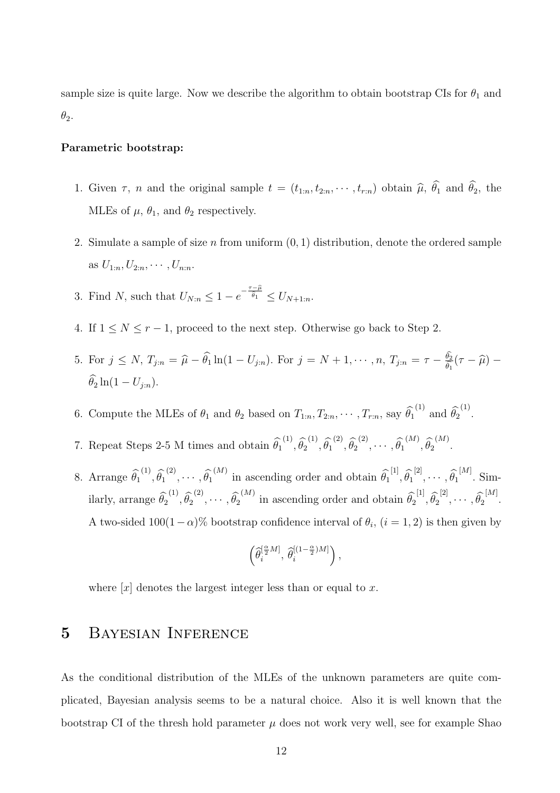sample size is quite large. Now we describe the algorithm to obtain bootstrap CIs for  $\theta_1$  and  $\theta_2$ .

#### Parametric bootstrap:

- 1. Given  $\tau$ , n and the original sample  $t = (t_{1:n}, t_{2:n}, \cdots, t_{r:n})$  obtain  $\widehat{\mu}$ ,  $\widehat{\theta}_1$  and  $\widehat{\theta}_2$ , the MLEs of  $\mu$ ,  $\theta_1$ , and  $\theta_2$  respectively.
- 2. Simulate a sample of size n from uniform  $(0, 1)$  distribution, denote the ordered sample as  $U_{1:n}, U_{2:n}, \cdots, U_{n:n}$ .
- 3. Find N, such that  $U_{N:n} \leq 1 e^{-\frac{\tau \widehat{\mu}}{\widehat{\theta}_1}} \leq U_{N+1:n}$ .
- 4. If  $1 \leq N \leq r-1$ , proceed to the next step. Otherwise go back to Step 2.
- 5. For  $j \le N$ ,  $T_{j:n} = \hat{\mu} \hat{\theta}_1 \ln(1 U_{j:n})$ . For  $j = N + 1, \dots, n$ ,  $T_{j:n} = \tau \frac{\theta_2}{\hat{\theta}_1}$  $\frac{\theta_2}{\widehat{\theta_1}}(\tau-\widehat{\mu}) \widehat{\theta}_2 \ln(1 - U_{i:n}).$
- 6. Compute the MLEs of  $\theta_1$  and  $\theta_2$  based on  $T_{1:n}, T_{2:n}, \cdots, T_{r:n}$ , say  $\widehat{\theta_1}^{(1)}$  and  $\widehat{\theta_2}^{(1)}$ .
- 7. Repeat Steps 2-5 M times and obtain  $\widehat{\theta}_1^{(1)}, \widehat{\theta}_2^{(1)}, \widehat{\theta}_1^{(2)}, \widehat{\theta}_2^{(2)}, \cdots, \widehat{\theta}_1^{(M)}, \widehat{\theta}_2^{(M)}$ .
- 8. Arrange  $\hat{\theta}_1^{(1)}, \hat{\theta}_1^{(2)}, \cdots, \hat{\theta}_1^{(M)}$  in ascending order and obtain  $\hat{\theta}_1^{[1]}, \hat{\theta}_1^{[2]}, \cdots, \hat{\theta}_1^{[M]}$ . Similarly, arrange  $\widehat{\theta}_2^{(1)}, \widehat{\theta}_2^{(2)}, \cdots, \widehat{\theta}_2^{(M)}$  in ascending order and obtain  $\widehat{\theta}_2^{[1]}, \widehat{\theta}_2^{[2]}, \cdots, \widehat{\theta}_2^{[M]}$ . A two-sided  $100(1-\alpha)$ % bootstrap confidence interval of  $\theta_i$ ,  $(i=1,2)$  is then given by

$$
\left(\widehat{\theta}_{i}^{[\frac{\alpha}{2}M]},\,\widehat{\theta}_{i}^{[(1-\frac{\alpha}{2})M]}\right),
$$

where  $[x]$  denotes the largest integer less than or equal to x.

## 5 Bayesian Inference

As the conditional distribution of the MLEs of the unknown parameters are quite complicated, Bayesian analysis seems to be a natural choice. Also it is well known that the bootstrap CI of the thresh hold parameter  $\mu$  does not work very well, see for example Shao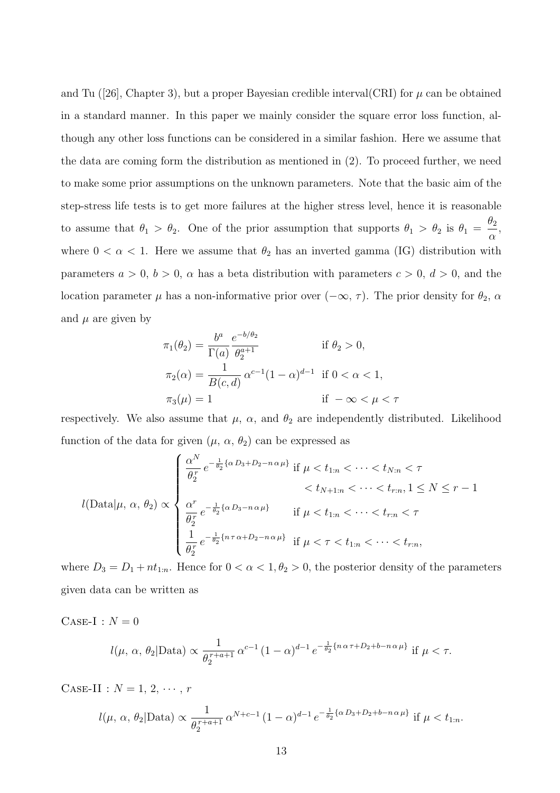and Tu ([26], Chapter 3), but a proper Bayesian credible interval  $CRI$ ) for  $\mu$  can be obtained in a standard manner. In this paper we mainly consider the square error loss function, although any other loss functions can be considered in a similar fashion. Here we assume that the data are coming form the distribution as mentioned in (2). To proceed further, we need to make some prior assumptions on the unknown parameters. Note that the basic aim of the step-stress life tests is to get more failures at the higher stress level, hence it is reasonable to assume that  $\theta_1 > \theta_2$ . One of the prior assumption that supports  $\theta_1 > \theta_2$  is  $\theta_1 =$  $\theta_2$  $\alpha$ , where  $0 < \alpha < 1$ . Here we assume that  $\theta_2$  has an inverted gamma (IG) distribution with parameters  $a > 0$ ,  $b > 0$ ,  $\alpha$  has a beta distribution with parameters  $c > 0$ ,  $d > 0$ , and the location parameter  $\mu$  has a non-informative prior over  $(-\infty, \tau)$ . The prior density for  $\theta_2$ ,  $\alpha$ and  $\mu$  are given by

$$
\pi_1(\theta_2) = \frac{b^a}{\Gamma(a)} \frac{e^{-b/\theta_2}}{\theta_2^{a+1}} \quad \text{if } \theta_2 > 0,
$$
  

$$
\pi_2(\alpha) = \frac{1}{B(c,d)} \alpha^{c-1} (1-\alpha)^{d-1} \quad \text{if } 0 < \alpha < 1,
$$
  

$$
\pi_3(\mu) = 1 \quad \text{if } -\infty < \mu < \tau
$$

respectively. We also assume that  $\mu$ ,  $\alpha$ , and  $\theta_2$  are independently distributed. Likelihood function of the data for given  $(\mu, \alpha, \theta_2)$  can be expressed as

$$
l(\text{Data}|\mu, \alpha, \theta_2) \propto \begin{cases} \frac{\alpha^N}{\theta_2^r} e^{-\frac{1}{\theta_2} \{\alpha D_3 + D_2 - n\alpha \mu\}} & \text{if } \mu < t_{1:n} < \dots < t_{N:n} < \tau \\ \frac{\alpha^r}{\theta_2^r} e^{-\frac{1}{\theta_2} \{\alpha D_3 - n\alpha \mu\}} & \text{if } \mu < t_{1:n} < \dots < t_{r:n} < \tau \\ \frac{1}{\theta_2^r} e^{-\frac{1}{\theta_2} \{n\tau \alpha + D_2 - n\alpha \mu\}} & \text{if } \mu < \tau < t_{1:n} < \dots < t_{r:n}, \end{cases}
$$

where  $D_3 = D_1 + nt_{1:n}$ . Hence for  $0 < \alpha < 1, \theta_2 > 0$ , the posterior density of the parameters given data can be written as

CASE-I : 
$$
N = 0
$$
  
\n $l(\mu, \alpha, \theta_2 | \text{Data}) \propto \frac{1}{\theta_2^{r+a+1}} \alpha^{c-1} (1-\alpha)^{d-1} e^{-\frac{1}{\theta_2} \{n\alpha\tau + D_2 + b - n\alpha\mu\}} \text{ if } \mu < \tau.$ 

CASE-II :  $N = 1, 2, \cdots, r$ 

$$
l(\mu, \alpha, \theta_2 | \text{Data}) \propto \frac{1}{\theta_2^{r+a+1}} \alpha^{N+c-1} (1-\alpha)^{d-1} e^{-\frac{1}{\theta_2} {\alpha D_3 + D_2 + b - n\alpha \mu} }
$$
 if  $\mu < t_{1:n}$ .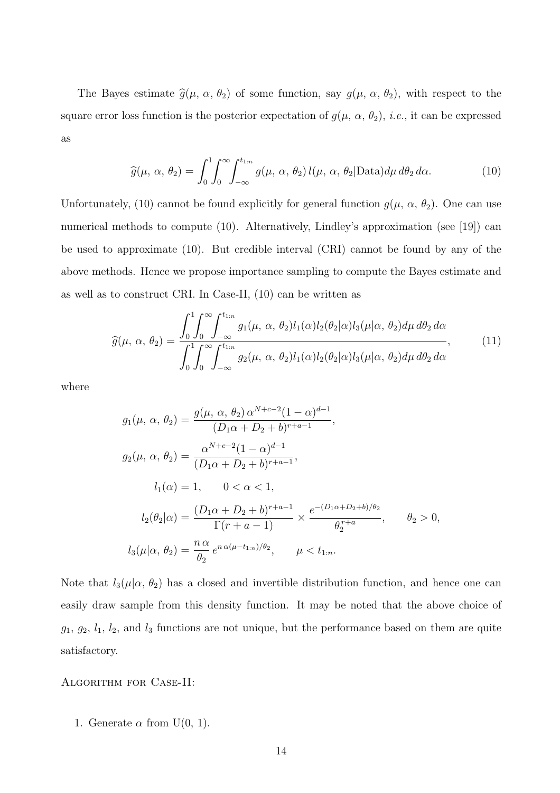The Bayes estimate  $\hat{g}(\mu, \alpha, \theta_2)$  of some function, say  $g(\mu, \alpha, \theta_2)$ , with respect to the square error loss function is the posterior expectation of  $g(\mu, \alpha, \theta_2)$ , *i.e.*, it can be expressed as

$$
\widehat{g}(\mu, \alpha, \theta_2) = \int_0^1 \int_0^\infty \int_{-\infty}^{t_{1:n}} g(\mu, \alpha, \theta_2) l(\mu, \alpha, \theta_2) \text{Data}) d\mu d\theta_2 d\alpha. \tag{10}
$$

Unfortunately, (10) cannot be found explicitly for general function  $g(\mu, \alpha, \theta_2)$ . One can use numerical methods to compute (10). Alternatively, Lindley's approximation (see [19]) can be used to approximate (10). But credible interval (CRI) cannot be found by any of the above methods. Hence we propose importance sampling to compute the Bayes estimate and as well as to construct CRI. In Case-II, (10) can be written as

$$
\widehat{g}(\mu, \alpha, \theta_2) = \frac{\int_0^1 \int_0^\infty \int_{-\infty}^{t_{1:n}} g_1(\mu, \alpha, \theta_2) l_1(\alpha) l_2(\theta_2 | \alpha) l_3(\mu | \alpha, \theta_2) d\mu d\theta_2 d\alpha}{\int_0^1 \int_0^\infty \int_{-\infty}^{t_{1:n}} g_2(\mu, \alpha, \theta_2) l_1(\alpha) l_2(\theta_2 | \alpha) l_3(\mu | \alpha, \theta_2) d\mu d\theta_2 d\alpha}, \qquad (11)
$$

where

$$
g_1(\mu, \alpha, \theta_2) = \frac{g(\mu, \alpha, \theta_2) \alpha^{N+c-2} (1-\alpha)^{d-1}}{(D_1 \alpha + D_2 + b)^{r+a-1}},
$$
  
\n
$$
g_2(\mu, \alpha, \theta_2) = \frac{\alpha^{N+c-2} (1-\alpha)^{d-1}}{(D_1 \alpha + D_2 + b)^{r+a-1}},
$$
  
\n
$$
l_1(\alpha) = 1, \quad 0 < \alpha < 1,
$$
  
\n
$$
l_2(\theta_2|\alpha) = \frac{(D_1 \alpha + D_2 + b)^{r+a-1}}{\Gamma(r+a-1)} \times \frac{e^{-(D_1 \alpha + D_2 + b)/\theta_2}}{\theta_2^{r+a}}, \quad \theta_2 > 0,
$$
  
\n
$$
l_3(\mu|\alpha, \theta_2) = \frac{n \alpha}{\theta_2} e^{n \alpha(\mu - t_{1:n})/\theta_2}, \quad \mu < t_{1:n}.
$$

Note that  $l_3(\mu|\alpha, \theta_2)$  has a closed and invertible distribution function, and hence one can easily draw sample from this density function. It may be noted that the above choice of  $g_1, g_2, l_1, l_2$ , and  $l_3$  functions are not unique, but the performance based on them are quite satisfactory.

#### Algorithm for Case-II:

1. Generate  $\alpha$  from U(0, 1).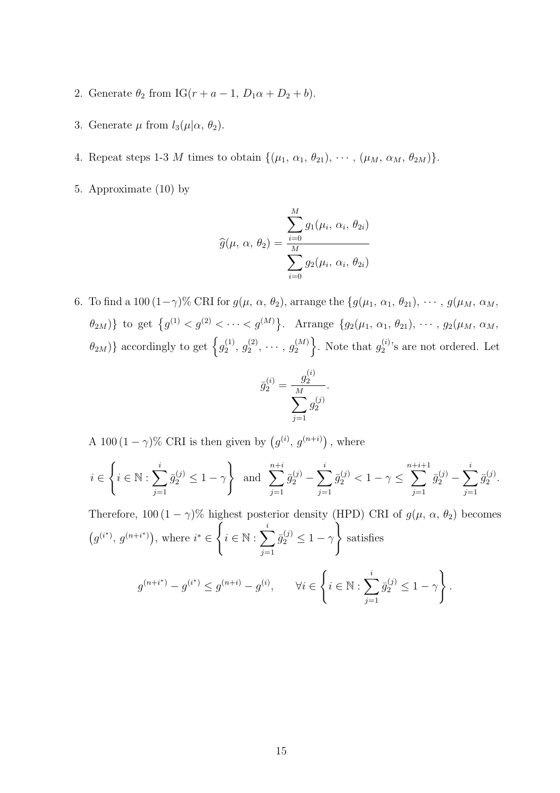- 2. Generate  $\theta_2$  from IG( $r + a 1$ ,  $D_1\alpha + D_2 + b$ ).
- 3. Generate  $\mu$  from  $l_3(\mu|\alpha, \theta_2)$ .
- 4. Repeat steps 1-3 M times to obtain  $\{(\mu_1, \alpha_1, \theta_{21}), \cdots, (\mu_M, \alpha_M, \theta_{2M})\}.$
- 5. Approximate (10) by

$$
\widehat{g}(\mu, \alpha, \theta_2) = \frac{\sum_{i=0}^{M} g_1(\mu_i, \alpha_i, \theta_{2i})}{\sum_{i=0}^{M} g_2(\mu_i, \alpha_i, \theta_{2i})}
$$

6. To find a 100  $(1-\gamma)$ % CRI for  $g(\mu, \alpha, \theta_2)$ , arrange the  $\{g(\mu_1, \alpha_1, \theta_{21}), \cdots, g(\mu_M, \alpha_M, \theta_M)\}$  $\{\theta_{2M}\}\}\$ to get  $\{g^{(1)} < g^{(2)} < \cdots < g^{(M)}\}\.$  Arrange  $\{g_2(\mu_1, \alpha_1, \theta_{21}), \cdots, g_2(\mu_M, \alpha_M, \theta_M)\}\$  $\{\theta_{2M}\}\}$  accordingly to get  $\{g_2^{(1)}\}$  $\overset{(1)}{2},\,\overset{(2)}{g_2^{\left( 2 \right)}}$  $\overset{(2)}{_{2}},\cdots,\overset{(M)}{_{2}}{}^{\hspace{-2.1mm} (M)}$ 2 }. Note that  $g_2^{(i)}$  $2^{(i)}$ 's are not ordered. Let

$$
\bar{g}_2^{(i)} = \frac{g_2^{(i)}}{\sum_{j=1}^M g_2^{(j)}}.
$$

A 100  $(1 - \gamma)$ % CRI is then given by  $(g^{(i)}, g^{(n+i)})$ , where

$$
i \in \left\{ i \in \mathbb{N}: \sum_{j=1}^i \bar{g}_2^{(j)} \leq 1-\gamma \right\} \ \text{ and } \ \sum_{j=1}^{n+i} \bar{g}_2^{(j)} - \sum_{j=1}^i \bar{g}_2^{(j)} < 1-\gamma \leq \sum_{j=1}^{n+i+1} \bar{g}_2^{(j)} - \sum_{j=1}^i \bar{g}_2^{(j)}.
$$

Therefore, 100 (1 –  $\gamma$ )% highest posterior density (HPD) CRI of  $g(\mu, \alpha, \theta_2)$  becomes  $(g^{(i^*)}, g^{(n+i^*)})$ , where  $i^* \in$  $\Gamma$  $i \in \mathbb{N} : \sum_{i=1}^{i}$  $j=1$  $\bar{g}_2^{(j)} \leq 1 - \gamma$ ) satisfies  $g^{(n+i^*)} - g^{(i^*)} \leq g^{(n+i)} - g^{(i)}, \quad \forall i \in \mathbb{R}$  $\sqrt{ }$  $i \in \mathbb{N} : \sum_{i=1}^{i}$  $j=1$  $\bar{g}_2^{(j)} \leq 1 - \gamma$  $\mathcal{L}$ .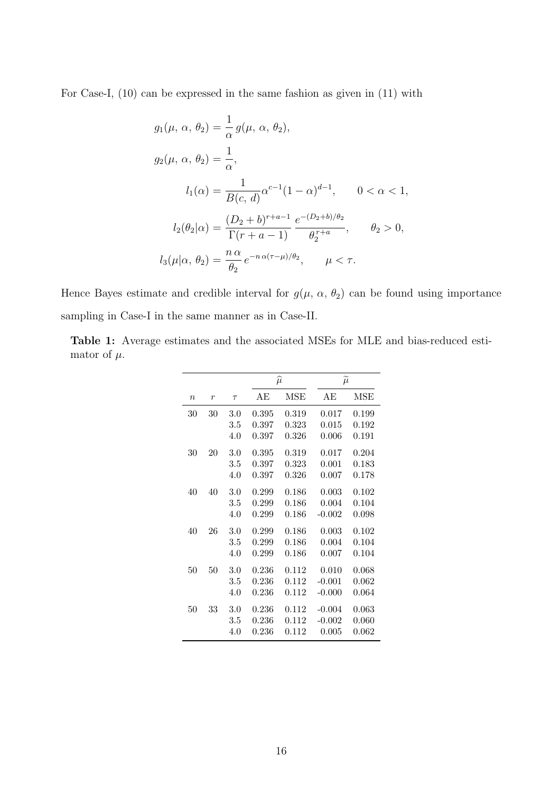For Case-I, (10) can be expressed in the same fashion as given in (11) with

$$
g_1(\mu, \alpha, \theta_2) = \frac{1}{\alpha} g(\mu, \alpha, \theta_2),
$$
  
\n
$$
g_2(\mu, \alpha, \theta_2) = \frac{1}{\alpha},
$$
  
\n
$$
l_1(\alpha) = \frac{1}{B(c, d)} \alpha^{c-1} (1 - \alpha)^{d-1}, \qquad 0 < \alpha < 1,
$$
  
\n
$$
l_2(\theta_2|\alpha) = \frac{(D_2 + b)^{r+a-1}}{\Gamma(r+a-1)} \frac{e^{-(D_2 + b)/\theta_2}}{\theta_2^{r+a}}, \qquad \theta_2 > 0,
$$
  
\n
$$
l_3(\mu|\alpha, \theta_2) = \frac{n \alpha}{\theta_2} e^{-n \alpha(\tau - \mu)/\theta_2}, \qquad \mu < \tau.
$$

Hence Bayes estimate and credible interval for  $g(\mu, \alpha, \theta_2)$  can be found using importance sampling in Case-I in the same manner as in Case-II.

Table 1: Average estimates and the associated MSEs for MLE and bias-reduced estimator of  $\mu$ .

|                  |    |        |       | $\widehat{\mu}$ | $\widetilde{\mu}$ |       |
|------------------|----|--------|-------|-----------------|-------------------|-------|
| $\boldsymbol{n}$ | r  | $\tau$ | AЕ    | <b>MSE</b>      | AЕ                | MSE   |
| 30               | 30 | 3.0    | 0.395 | 0.319           | 0.017             | 0.199 |
|                  |    | 3.5    | 0.397 | 0.323           | 0.015             | 0.192 |
|                  |    | 4.0    | 0.397 | 0.326           | 0.006             | 0.191 |
| 30               | 20 | 3.0    | 0.395 | 0.319           | 0.017             | 0.204 |
|                  |    | 3.5    | 0.397 | 0.323           | 0.001             | 0.183 |
|                  |    | 4.0    | 0.397 | 0.326           | 0.007             | 0.178 |
| 40               | 40 | 3.0    | 0.299 | 0.186           | 0.003             | 0.102 |
|                  |    | 3.5    | 0.299 | 0.186           | 0.004             | 0.104 |
|                  |    | 4.0    | 0.299 | 0.186           | $-0.002$          | 0.098 |
| 40               | 26 | 3.0    | 0.299 | 0.186           | 0.003             | 0.102 |
|                  |    | 3.5    | 0.299 | 0.186           | 0.004             | 0.104 |
|                  |    | 4.0    | 0.299 | 0.186           | 0.007             | 0.104 |
| 50               | 50 | 3.0    | 0.236 | 0.112           | 0.010             | 0.068 |
|                  |    | 3.5    | 0.236 | 0.112           | $-0.001$          | 0.062 |
|                  |    | 4.0    | 0.236 | 0.112           | $-0.000$          | 0.064 |
| 50               | 33 | 3.0    | 0.236 | 0.112           | $-0.004$          | 0.063 |
|                  |    | 3.5    | 0.236 | 0.112           | $-0.002$          | 0.060 |
|                  |    | 4.0    | 0.236 | 0.112           | 0.005             | 0.062 |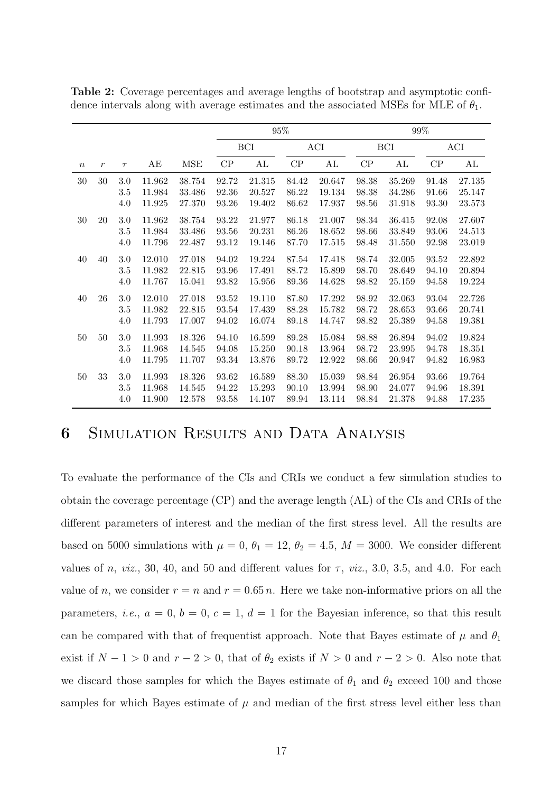|                  |               |         |        |            | $95\%$ |        |       |        |               |        | $99\%$ |        |
|------------------|---------------|---------|--------|------------|--------|--------|-------|--------|---------------|--------|--------|--------|
|                  |               |         |        |            |        | BCI    |       | ACI    |               | BCI    |        | ACI    |
| $\boldsymbol{n}$ | $\mathcal{r}$ | $\tau$  | AЕ     | <b>MSE</b> | CP     | AL     | CP    | AL     | $\mathrm{CP}$ | AL     | CP     | AL     |
| $30\,$           | 30            | $3.0\,$ | 11.962 | 38.754     | 92.72  | 21.315 | 84.42 | 20.647 | 98.38         | 35.269 | 91.48  | 27.135 |
|                  |               | 3.5     | 11.984 | 33.486     | 92.36  | 20.527 | 86.22 | 19.134 | 98.38         | 34.286 | 91.66  | 25.147 |
|                  |               | 4.0     | 11.925 | 27.370     | 93.26  | 19.402 | 86.62 | 17.937 | 98.56         | 31.918 | 93.30  | 23.573 |
| $30\,$           | 20            | $3.0\,$ | 11.962 | 38.754     | 93.22  | 21.977 | 86.18 | 21.007 | 98.34         | 36.415 | 92.08  | 27.607 |
|                  |               | 3.5     | 11.984 | 33.486     | 93.56  | 20.231 | 86.26 | 18.652 | 98.66         | 33.849 | 93.06  | 24.513 |
|                  |               | 4.0     | 11.796 | 22.487     | 93.12  | 19.146 | 87.70 | 17.515 | 98.48         | 31.550 | 92.98  | 23.019 |
| 40               | 40            | $3.0\,$ | 12.010 | 27.018     | 94.02  | 19.224 | 87.54 | 17.418 | 98.74         | 32.005 | 93.52  | 22.892 |
|                  |               | 3.5     | 11.982 | 22.815     | 93.96  | 17.491 | 88.72 | 15.899 | 98.70         | 28.649 | 94.10  | 20.894 |
|                  |               | 4.0     | 11.767 | 15.041     | 93.82  | 15.956 | 89.36 | 14.628 | 98.82         | 25.159 | 94.58  | 19.224 |
| 40               | 26            | $3.0\,$ | 12.010 | 27.018     | 93.52  | 19.110 | 87.80 | 17.292 | 98.92         | 32.063 | 93.04  | 22.726 |
|                  |               | $3.5\,$ | 11.982 | 22.815     | 93.54  | 17.439 | 88.28 | 15.782 | 98.72         | 28.653 | 93.66  | 20.741 |
|                  |               | 4.0     | 11.793 | 17.007     | 94.02  | 16.074 | 89.18 | 14.747 | 98.82         | 25.389 | 94.58  | 19.381 |
| 50               | 50            | $3.0\,$ | 11.993 | 18.326     | 94.10  | 16.599 | 89.28 | 15.084 | 98.88         | 26.894 | 94.02  | 19.824 |
|                  |               | $3.5\,$ | 11.968 | 14.545     | 94.08  | 15.250 | 90.18 | 13.964 | 98.72         | 23.995 | 94.78  | 18.351 |
|                  |               | 4.0     | 11.795 | 11.707     | 93.34  | 13.876 | 89.72 | 12.922 | 98.66         | 20.947 | 94.82  | 16.983 |
| 50               | 33            | 3.0     | 11.993 | 18.326     | 93.62  | 16.589 | 88.30 | 15.039 | 98.84         | 26.954 | 93.66  | 19.764 |
|                  |               | $3.5\,$ | 11.968 | 14.545     | 94.22  | 15.293 | 90.10 | 13.994 | 98.90         | 24.077 | 94.96  | 18.391 |
|                  |               | 4.0     | 11.900 | 12.578     | 93.58  | 14.107 | 89.94 | 13.114 | 98.84         | 21.378 | 94.88  | 17.235 |

Table 2: Coverage percentages and average lengths of bootstrap and asymptotic confidence intervals along with average estimates and the associated MSEs for MLE of  $\theta_1$ .

# 6 Simulation Results and Data Analysis

To evaluate the performance of the CIs and CRIs we conduct a few simulation studies to obtain the coverage percentage (CP) and the average length (AL) of the CIs and CRIs of the different parameters of interest and the median of the first stress level. All the results are based on 5000 simulations with  $\mu = 0$ ,  $\theta_1 = 12$ ,  $\theta_2 = 4.5$ ,  $M = 3000$ . We consider different values of n, viz., 30, 40, and 50 and different values for  $\tau$ , viz., 3.0, 3.5, and 4.0. For each value of n, we consider  $r = n$  and  $r = 0.65 n$ . Here we take non-informative priors on all the parameters, *i.e.*,  $a = 0$ ,  $b = 0$ ,  $c = 1$ ,  $d = 1$  for the Bayesian inference, so that this result can be compared with that of frequentist approach. Note that Bayes estimate of  $\mu$  and  $\theta_1$ exist if  $N - 1 > 0$  and  $r - 2 > 0$ , that of  $\theta_2$  exists if  $N > 0$  and  $r - 2 > 0$ . Also note that we discard those samples for which the Bayes estimate of  $\theta_1$  and  $\theta_2$  exceed 100 and those samples for which Bayes estimate of  $\mu$  and median of the first stress level either less than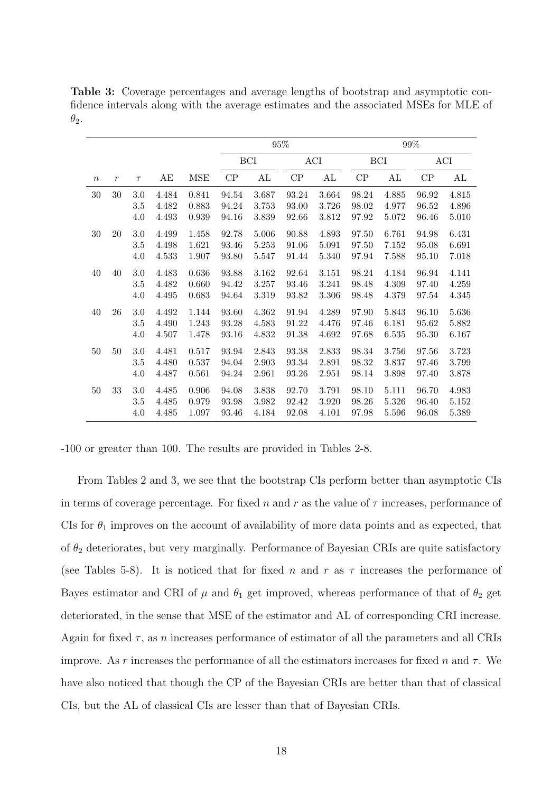|          |                |         |       |       |       |            | $95\%$ |       |       |       | $99\%$ |       |
|----------|----------------|---------|-------|-------|-------|------------|--------|-------|-------|-------|--------|-------|
|          |                |         |       |       |       | <b>BCI</b> |        | ACI   |       | BCI   |        | ACI   |
| $\it{n}$ | $\mathfrak{r}$ | $\tau$  | AЕ    | MSE   | CP    | AL         | CP     | AL    | CP    | AL    | CP     | AL    |
| $30\,$   | 30             | 3.0     | 4.484 | 0.841 | 94.54 | 3.687      | 93.24  | 3.664 | 98.24 | 4.885 | 96.92  | 4.815 |
|          |                | 3.5     | 4.482 | 0.883 | 94.24 | 3.753      | 93.00  | 3.726 | 98.02 | 4.977 | 96.52  | 4.896 |
|          |                | 4.0     | 4.493 | 0.939 | 94.16 | 3.839      | 92.66  | 3.812 | 97.92 | 5.072 | 96.46  | 5.010 |
| 30       | 20             | 3.0     | 4.499 | 1.458 | 92.78 | 5.006      | 90.88  | 4.893 | 97.50 | 6.761 | 94.98  | 6.431 |
|          |                | 3.5     | 4.498 | 1.621 | 93.46 | 5.253      | 91.06  | 5.091 | 97.50 | 7.152 | 95.08  | 6.691 |
|          |                | 4.0     | 4.533 | 1.907 | 93.80 | 5.547      | 91.44  | 5.340 | 97.94 | 7.588 | 95.10  | 7.018 |
| 40       | 40             | 3.0     | 4.483 | 0.636 | 93.88 | 3.162      | 92.64  | 3.151 | 98.24 | 4.184 | 96.94  | 4.141 |
|          |                | $3.5\,$ | 4.482 | 0.660 | 94.42 | 3.257      | 93.46  | 3.241 | 98.48 | 4.309 | 97.40  | 4.259 |
|          |                | 4.0     | 4.495 | 0.683 | 94.64 | 3.319      | 93.82  | 3.306 | 98.48 | 4.379 | 97.54  | 4.345 |
| 40       | 26             | 3.0     | 4.492 | 1.144 | 93.60 | 4.362      | 91.94  | 4.289 | 97.90 | 5.843 | 96.10  | 5.636 |
|          |                | $3.5\,$ | 4.490 | 1.243 | 93.28 | 4.583      | 91.22  | 4.476 | 97.46 | 6.181 | 95.62  | 5.882 |
|          |                | 4.0     | 4.507 | 1.478 | 93.16 | 4.832      | 91.38  | 4.692 | 97.68 | 6.535 | 95.30  | 6.167 |
| 50       | 50             | 3.0     | 4.481 | 0.517 | 93.94 | 2.843      | 93.38  | 2.833 | 98.34 | 3.756 | 97.56  | 3.723 |
|          |                | $3.5\,$ | 4.480 | 0.537 | 94.04 | 2.903      | 93.34  | 2.891 | 98.32 | 3.837 | 97.46  | 3.799 |
|          |                | 4.0     | 4.487 | 0.561 | 94.24 | 2.961      | 93.26  | 2.951 | 98.14 | 3.898 | 97.40  | 3.878 |
| 50       | 33             | $3.0\,$ | 4.485 | 0.906 | 94.08 | 3.838      | 92.70  | 3.791 | 98.10 | 5.111 | 96.70  | 4.983 |
|          |                | $3.5\,$ | 4.485 | 0.979 | 93.98 | 3.982      | 92.42  | 3.920 | 98.26 | 5.326 | 96.40  | 5.152 |
|          |                | 4.0     | 4.485 | 1.097 | 93.46 | 4.184      | 92.08  | 4.101 | 97.98 | 5.596 | 96.08  | 5.389 |

Table 3: Coverage percentages and average lengths of bootstrap and asymptotic confidence intervals along with the average estimates and the associated MSEs for MLE of  $\theta_2$ .

-100 or greater than 100. The results are provided in Tables 2-8.

From Tables 2 and 3, we see that the bootstrap CIs perform better than asymptotic CIs in terms of coverage percentage. For fixed n and r as the value of  $\tau$  increases, performance of CIs for  $\theta_1$  improves on the account of availability of more data points and as expected, that of  $\theta_2$  deteriorates, but very marginally. Performance of Bayesian CRIs are quite satisfactory (see Tables 5-8). It is noticed that for fixed n and r as  $\tau$  increases the performance of Bayes estimator and CRI of  $\mu$  and  $\theta_1$  get improved, whereas performance of that of  $\theta_2$  get deteriorated, in the sense that MSE of the estimator and AL of corresponding CRI increase. Again for fixed  $\tau$ , as *n* increases performance of estimator of all the parameters and all CRIs improve. As r increases the performance of all the estimators increases for fixed n and  $\tau$ . We have also noticed that though the CP of the Bayesian CRIs are better than that of classical CIs, but the AL of classical CIs are lesser than that of Bayesian CRIs.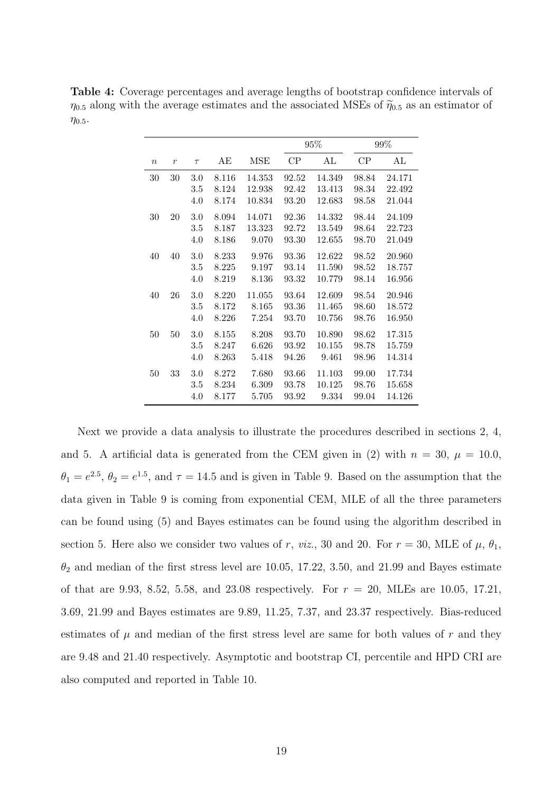|                  |                  |        |       |        |       | 95%    |       | 99%    |
|------------------|------------------|--------|-------|--------|-------|--------|-------|--------|
| $\boldsymbol{n}$ | $\boldsymbol{r}$ | $\tau$ | AЕ    | MSE    | CP    | AL     | СP    | AL     |
| 30               | 30               | 3.0    | 8.116 | 14.353 | 92.52 | 14.349 | 98.84 | 24.171 |
|                  |                  | 3.5    | 8.124 | 12.938 | 92.42 | 13.413 | 98.34 | 22.492 |
|                  |                  | 4.0    | 8.174 | 10.834 | 93.20 | 12.683 | 98.58 | 21.044 |
| 30               | 20               | 3.0    | 8.094 | 14.071 | 92.36 | 14.332 | 98.44 | 24.109 |
|                  |                  | 3.5    | 8.187 | 13.323 | 92.72 | 13.549 | 98.64 | 22.723 |
|                  |                  | 4.0    | 8.186 | 9.070  | 93.30 | 12.655 | 98.70 | 21.049 |
| 40               | 40               | 3.0    | 8.233 | 9.976  | 93.36 | 12.622 | 98.52 | 20.960 |
|                  |                  | 3.5    | 8.225 | 9.197  | 93.14 | 11.590 | 98.52 | 18.757 |
|                  |                  | 4.0    | 8.219 | 8.136  | 93.32 | 10.779 | 98.14 | 16.956 |
| 40               | 26               | 3.0    | 8.220 | 11.055 | 93.64 | 12.609 | 98.54 | 20.946 |
|                  |                  | 3.5    | 8.172 | 8.165  | 93.36 | 11.465 | 98.60 | 18.572 |
|                  |                  | 4.0    | 8.226 | 7.254  | 93.70 | 10.756 | 98.76 | 16.950 |
| 50               | 50               | 3.0    | 8.155 | 8.208  | 93.70 | 10.890 | 98.62 | 17.315 |
|                  |                  | 3.5    | 8.247 | 6.626  | 93.92 | 10.155 | 98.78 | 15.759 |
|                  |                  | 4.0    | 8.263 | 5.418  | 94.26 | 9.461  | 98.96 | 14.314 |
| 50               | 33               | 3.0    | 8.272 | 7.680  | 93.66 | 11.103 | 99.00 | 17.734 |
|                  |                  | 3.5    | 8.234 | 6.309  | 93.78 | 10.125 | 98.76 | 15.658 |
|                  |                  | 4.0    | 8.177 | 5.705  | 93.92 | 9.334  | 99.04 | 14.126 |

Table 4: Coverage percentages and average lengths of bootstrap confidence intervals of  $\eta_{0.5}$  along with the average estimates and the associated MSEs of  $\tilde{\eta}_{0.5}$  as an estimator of  $\eta_{0.5}$ .

Next we provide a data analysis to illustrate the procedures described in sections 2, 4, and 5. A artificial data is generated from the CEM given in (2) with  $n = 30$ ,  $\mu = 10.0$ ,  $\theta_1 = e^{2.5}, \theta_2 = e^{1.5}$ , and  $\tau = 14.5$  and is given in Table 9. Based on the assumption that the data given in Table 9 is coming from exponential CEM, MLE of all the three parameters can be found using (5) and Bayes estimates can be found using the algorithm described in section 5. Here also we consider two values of r, viz., 30 and 20. For  $r = 30$ , MLE of  $\mu$ ,  $\theta_1$ ,  $\theta_2$  and median of the first stress level are 10.05, 17.22, 3.50, and 21.99 and Bayes estimate of that are 9.93, 8.52, 5.58, and 23.08 respectively. For  $r = 20$ , MLEs are 10.05, 17.21, 3.69, 21.99 and Bayes estimates are 9.89, 11.25, 7.37, and 23.37 respectively. Bias-reduced estimates of  $\mu$  and median of the first stress level are same for both values of  $r$  and they are 9.48 and 21.40 respectively. Asymptotic and bootstrap CI, percentile and HPD CRI are also computed and reported in Table 10.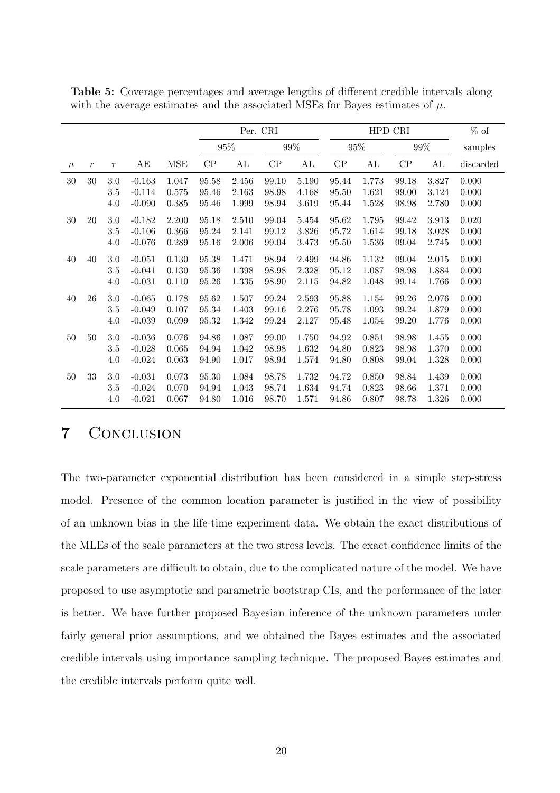|                  |                  |         |          |            |               | Per. CRI |       |        |             |           | HPD CRI     |        | $%$ of    |
|------------------|------------------|---------|----------|------------|---------------|----------|-------|--------|-------------|-----------|-------------|--------|-----------|
|                  |                  |         |          |            |               | $95\%$   |       | $99\%$ |             | $95\%$    |             | $99\%$ | samples   |
| $\boldsymbol{n}$ | $\boldsymbol{r}$ | $\tau$  | AЕ       | <b>MSE</b> | $\mathrm{CP}$ | AL       | CP    | AL     | ${\cal CP}$ | AL        | ${\cal CP}$ | AL     | discarded |
| 30               | $30\,$           | 3.0     | $-0.163$ | 1.047      | 95.58         | 2.456    | 99.10 | 5.190  | 95.44       | 1.773     | 99.18       | 3.827  | 0.000     |
|                  |                  | 3.5     | $-0.114$ | 0.575      | 95.46         | 2.163    | 98.98 | 4.168  | 95.50       | 1.621     | 99.00       | 3.124  | 0.000     |
|                  |                  | 4.0     | $-0.090$ | 0.385      | 95.46         | 1.999    | 98.94 | 3.619  | 95.44       | 1.528     | 98.98       | 2.780  | 0.000     |
| 30               | 20               | 3.0     | $-0.182$ | 2.200      | 95.18         | 2.510    | 99.04 | 5.454  | 95.62       | 1.795     | 99.42       | 3.913  | 0.020     |
|                  |                  | 3.5     | $-0.106$ | 0.366      | 95.24         | 2.141    | 99.12 | 3.826  | 95.72       | 1.614     | 99.18       | 3.028  | 0.000     |
|                  |                  | 4.0     | $-0.076$ | 0.289      | 95.16         | 2.006    | 99.04 | 3.473  | 95.50       | 1.536     | 99.04       | 2.745  | 0.000     |
| $40\,$           | 40               | 3.0     | $-0.051$ | 0.130      | 95.38         | 1.471    | 98.94 | 2.499  | 94.86       | $1.132\,$ | 99.04       | 2.015  | 0.000     |
|                  |                  | 3.5     | $-0.041$ | 0.130      | 95.36         | 1.398    | 98.98 | 2.328  | 95.12       | 1.087     | 98.98       | 1.884  | 0.000     |
|                  |                  | 4.0     | $-0.031$ | 0.110      | 95.26         | 1.335    | 98.90 | 2.115  | 94.82       | 1.048     | 99.14       | 1.766  | 0.000     |
| 40               | 26               | 3.0     | $-0.065$ | 0.178      | 95.62         | 1.507    | 99.24 | 2.593  | 95.88       | 1.154     | 99.26       | 2.076  | 0.000     |
|                  |                  | 3.5     | $-0.049$ | 0.107      | 95.34         | 1.403    | 99.16 | 2.276  | 95.78       | 1.093     | 99.24       | 1.879  | 0.000     |
|                  |                  | 4.0     | $-0.039$ | 0.099      | 95.32         | 1.342    | 99.24 | 2.127  | 95.48       | 1.054     | 99.20       | 1.776  | 0.000     |
| $50\,$           | $50\,$           | $3.0\,$ | $-0.036$ | 0.076      | 94.86         | 1.087    | 99.00 | 1.750  | 94.92       | 0.851     | 98.98       | 1.455  | 0.000     |
|                  |                  | 3.5     | $-0.028$ | 0.065      | 94.94         | 1.042    | 98.98 | 1.632  | 94.80       | 0.823     | 98.98       | 1.370  | 0.000     |
|                  |                  | 4.0     | $-0.024$ | 0.063      | 94.90         | 1.017    | 98.94 | 1.574  | 94.80       | 0.808     | 99.04       | 1.328  | 0.000     |
| 50               | 33               | $3.0\,$ | $-0.031$ | 0.073      | 95.30         | 1.084    | 98.78 | 1.732  | 94.72       | 0.850     | 98.84       | 1.439  | 0.000     |
|                  |                  | 3.5     | $-0.024$ | 0.070      | 94.94         | 1.043    | 98.74 | 1.634  | 94.74       | 0.823     | 98.66       | 1.371  | 0.000     |
|                  |                  | 4.0     | $-0.021$ | 0.067      | 94.80         | 1.016    | 98.70 | 1.571  | 94.86       | 0.807     | 98.78       | 1.326  | 0.000     |

Table 5: Coverage percentages and average lengths of different credible intervals along with the average estimates and the associated MSEs for Bayes estimates of  $\mu$ .

# 7 Conclusion

The two-parameter exponential distribution has been considered in a simple step-stress model. Presence of the common location parameter is justified in the view of possibility of an unknown bias in the life-time experiment data. We obtain the exact distributions of the MLEs of the scale parameters at the two stress levels. The exact confidence limits of the scale parameters are difficult to obtain, due to the complicated nature of the model. We have proposed to use asymptotic and parametric bootstrap CIs, and the performance of the later is better. We have further proposed Bayesian inference of the unknown parameters under fairly general prior assumptions, and we obtained the Bayes estimates and the associated credible intervals using importance sampling technique. The proposed Bayes estimates and the credible intervals perform quite well.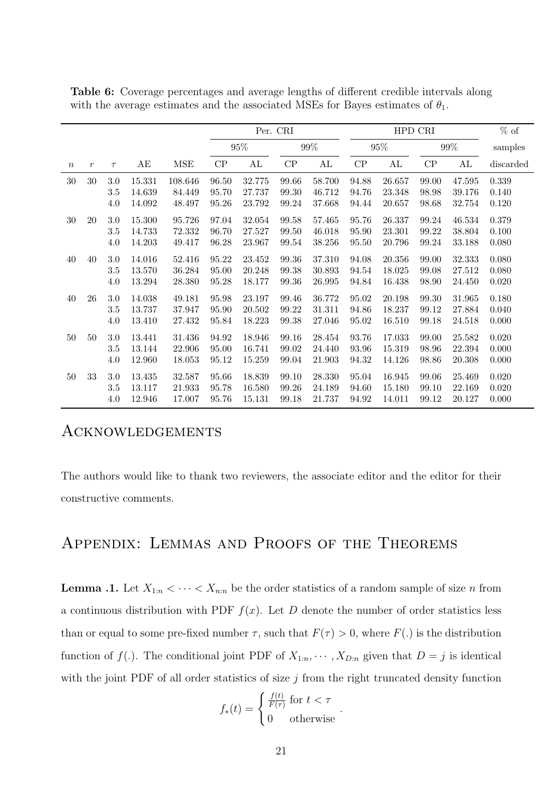|                  |                |         |        |            |               | Per. CRI |       |        |             |        | HPD CRI |        | $%$ of    |
|------------------|----------------|---------|--------|------------|---------------|----------|-------|--------|-------------|--------|---------|--------|-----------|
|                  |                |         |        |            |               | $95\%$   |       | $99\%$ |             | $95\%$ |         | $99\%$ | samples   |
| $\boldsymbol{n}$ | $\mathfrak{r}$ | $\tau$  | AE     | <b>MSE</b> | $\mathrm{CP}$ | AL       | CP    | AL     | ${\cal CP}$ | AL     | CP      | AL     | discarded |
| $30\,$           | $30\,$         | $3.0\,$ | 15.331 | 108.646    | 96.50         | 32.775   | 99.66 | 58.700 | 94.88       | 26.657 | 99.00   | 47.595 | 0.339     |
|                  |                | 3.5     | 14.639 | 84.449     | 95.70         | 27.737   | 99.30 | 46.712 | 94.76       | 23.348 | 98.98   | 39.176 | 0.140     |
|                  |                | 4.0     | 14.092 | 48.497     | 95.26         | 23.792   | 99.24 | 37.668 | 94.44       | 20.657 | 98.68   | 32.754 | 0.120     |
| $30\,$           | $20\,$         | 3.0     | 15.300 | 95.726     | 97.04         | 32.054   | 99.58 | 57.465 | 95.76       | 26.337 | 99.24   | 46.534 | 0.379     |
|                  |                | 3.5     | 14.733 | 72.332     | 96.70         | 27.527   | 99.50 | 46.018 | 95.90       | 23.301 | 99.22   | 38.804 | 0.100     |
|                  |                | 4.0     | 14.203 | 49.417     | 96.28         | 23.967   | 99.54 | 38.256 | 95.50       | 20.796 | 99.24   | 33.188 | 0.080     |
| 40               | 40             | $3.0\,$ | 14.016 | 52.416     | 95.22         | 23.452   | 99.36 | 37.310 | 94.08       | 20.356 | 99.00   | 32.333 | 0.080     |
|                  |                | 3.5     | 13.570 | 36.284     | 95.00         | 20.248   | 99.38 | 30.893 | 94.54       | 18.025 | 99.08   | 27.512 | 0.080     |
|                  |                | 4.0     | 13.294 | 28.380     | 95.28         | 18.177   | 99.36 | 26.995 | 94.84       | 16.438 | 98.90   | 24.450 | 0.020     |
| 40               | 26             | 3.0     | 14.038 | 49.181     | 95.98         | 23.197   | 99.46 | 36.772 | 95.02       | 20.198 | 99.30   | 31.965 | 0.180     |
|                  |                | 3.5     | 13.737 | 37.947     | 95.90         | 20.502   | 99.22 | 31.311 | 94.86       | 18.237 | 99.12   | 27.884 | 0.040     |
|                  |                | 4.0     | 13.410 | 27.432     | 95.84         | 18.223   | 99.38 | 27.046 | 95.02       | 16.510 | 99.18   | 24.518 | 0.000     |
| 50               | $50\,$         | 3.0     | 13.441 | 31.436     | 94.92         | 18.946   | 99.16 | 28.454 | 93.76       | 17.033 | 99.00   | 25.582 | 0.020     |
|                  |                | 3.5     | 13.144 | 22.906     | 95.00         | 16.741   | 99.02 | 24.440 | 93.96       | 15.319 | 98.96   | 22.394 | 0.000     |
|                  |                | 4.0     | 12.960 | 18.053     | 95.12         | 15.259   | 99.04 | 21.903 | 94.32       | 14.126 | 98.86   | 20.308 | 0.000     |
| 50               | $33\,$         | $3.0\,$ | 13.435 | 32.587     | 95.66         | 18.839   | 99.10 | 28.330 | 95.04       | 16.945 | 99.06   | 25.469 | 0.020     |
|                  |                | 3.5     | 13.117 | 21.933     | 95.78         | 16.580   | 99.26 | 24.189 | 94.60       | 15.180 | 99.10   | 22.169 | 0.020     |
|                  |                | 4.0     | 12.946 | 17.007     | 95.76         | 15.131   | 99.18 | 21.737 | 94.92       | 14.011 | 99.12   | 20.127 | 0.000     |

Table 6: Coverage percentages and average lengths of different credible intervals along with the average estimates and the associated MSEs for Bayes estimates of  $\theta_1$ .

## **ACKNOWLEDGEMENTS**

The authors would like to thank two reviewers, the associate editor and the editor for their constructive comments.

# Appendix: Lemmas and Proofs of the Theorems

**Lemma .1.** Let  $X_{1:n} < \cdots < X_{n:n}$  be the order statistics of a random sample of size n from a continuous distribution with PDF  $f(x)$ . Let D denote the number of order statistics less than or equal to some pre-fixed number  $\tau$ , such that  $F(\tau) > 0$ , where  $F(.)$  is the distribution function of  $f(.)$ . The conditional joint PDF of  $X_{1:n}, \dots, X_{D:n}$  given that  $D = j$  is identical with the joint PDF of all order statistics of size  $j$  from the right truncated density function

$$
f_*(t) = \begin{cases} \frac{f(t)}{F(\tau)} \text{ for } t < \tau \\ 0 \quad \text{otherwise} \end{cases}.
$$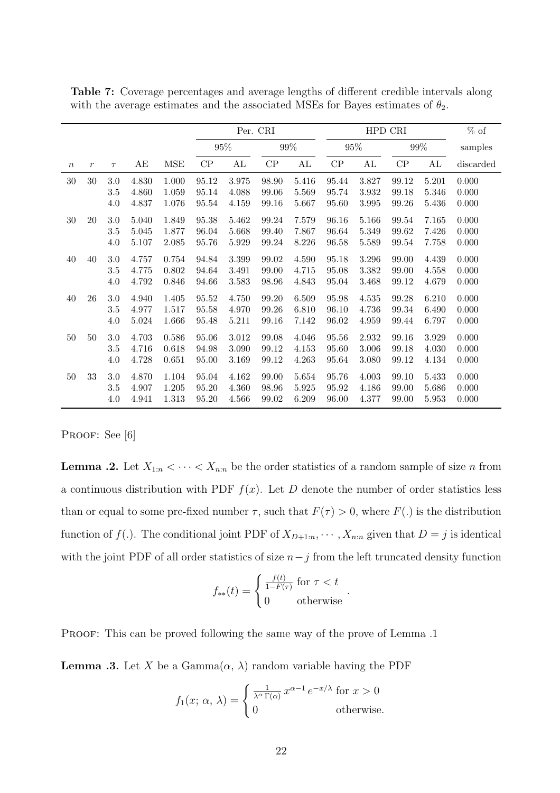|                  |                  |         |       |            |        | Per. CRI  |        |               |       |        | HPD CRI |        | $%$ of    |
|------------------|------------------|---------|-------|------------|--------|-----------|--------|---------------|-------|--------|---------|--------|-----------|
|                  |                  |         |       |            | $95\%$ |           | $99\%$ |               |       | $95\%$ |         | $99\%$ | samples   |
| $\boldsymbol{n}$ | $\boldsymbol{r}$ | $\tau$  | AЕ    | <b>MSE</b> | CP     | AL        | CP     | $\mathrm{AL}$ | CP    | AL     | CP      | AL     | discarded |
| 30               | 30               | 3.0     | 4.830 | 1.000      | 95.12  | 3.975     | 98.90  | 5.416         | 95.44 | 3.827  | 99.12   | 5.201  | 0.000     |
|                  |                  | 3.5     | 4.860 | 1.059      | 95.14  | 4.088     | 99.06  | 5.569         | 95.74 | 3.932  | 99.18   | 5.346  | 0.000     |
|                  |                  | 4.0     | 4.837 | 1.076      | 95.54  | 4.159     | 99.16  | 5.667         | 95.60 | 3.995  | 99.26   | 5.436  | 0.000     |
| 30               | 20               | $3.0\,$ | 5.040 | 1.849      | 95.38  | 5.462     | 99.24  | 7.579         | 96.16 | 5.166  | 99.54   | 7.165  | 0.000     |
|                  |                  | $3.5\,$ | 5.045 | 1.877      | 96.04  | 5.668     | 99.40  | 7.867         | 96.64 | 5.349  | 99.62   | 7.426  | 0.000     |
|                  |                  | 4.0     | 5.107 | 2.085      | 95.76  | 5.929     | 99.24  | 8.226         | 96.58 | 5.589  | 99.54   | 7.758  | 0.000     |
| $40\,$           | 40               | $3.0\,$ | 4.757 | 0.754      | 94.84  | $3.399\,$ | 99.02  | 4.590         | 95.18 | 3.296  | 99.00   | 4.439  | 0.000     |
|                  |                  | 3.5     | 4.775 | 0.802      | 94.64  | 3.491     | 99.00  | 4.715         | 95.08 | 3.382  | 99.00   | 4.558  | 0.000     |
|                  |                  | 4.0     | 4.792 | 0.846      | 94.66  | 3.583     | 98.96  | 4.843         | 95.04 | 3.468  | 99.12   | 4.679  | 0.000     |
| 40               | 26               | $3.0\,$ | 4.940 | $1.405\,$  | 95.52  | 4.750     | 99.20  | 6.509         | 95.98 | 4.535  | 99.28   | 6.210  | 0.000     |
|                  |                  | 3.5     | 4.977 | 1.517      | 95.58  | 4.970     | 99.26  | 6.810         | 96.10 | 4.736  | 99.34   | 6.490  | 0.000     |
|                  |                  | 4.0     | 5.024 | 1.666      | 95.48  | 5.211     | 99.16  | 7.142         | 96.02 | 4.959  | 99.44   | 6.797  | 0.000     |
| 50               | 50               | $3.0\,$ | 4.703 | 0.586      | 95.06  | 3.012     | 99.08  | 4.046         | 95.56 | 2.932  | 99.16   | 3.929  | 0.000     |
|                  |                  | 3.5     | 4.716 | 0.618      | 94.98  | 3.090     | 99.12  | 4.153         | 95.60 | 3.006  | 99.18   | 4.030  | 0.000     |
|                  |                  | 4.0     | 4.728 | 0.651      | 95.00  | 3.169     | 99.12  | 4.263         | 95.64 | 3.080  | 99.12   | 4.134  | 0.000     |
| $50\,$           | 33               | $3.0\,$ | 4.870 | 1.104      | 95.04  | 4.162     | 99.00  | 5.654         | 95.76 | 4.003  | 99.10   | 5.433  | 0.000     |
|                  |                  | 3.5     | 4.907 | 1.205      | 95.20  | 4.360     | 98.96  | 5.925         | 95.92 | 4.186  | 99.00   | 5.686  | 0.000     |
|                  |                  | 4.0     | 4.941 | 1.313      | 95.20  | 4.566     | 99.02  | 6.209         | 96.00 | 4.377  | 99.00   | 5.953  | 0.000     |

Table 7: Coverage percentages and average lengths of different credible intervals along with the average estimates and the associated MSEs for Bayes estimates of  $\theta_2$ .

#### PROOF: See [6]

**Lemma .2.** Let  $X_{1:n} < \cdots < X_{n:n}$  be the order statistics of a random sample of size n from a continuous distribution with PDF  $f(x)$ . Let D denote the number of order statistics less than or equal to some pre-fixed number  $\tau$ , such that  $F(\tau) > 0$ , where  $F(.)$  is the distribution function of  $f(.)$ . The conditional joint PDF of  $X_{D+1:n}, \dots, X_{n:n}$  given that  $D = j$  is identical with the joint PDF of all order statistics of size  $n-j$  from the left truncated density function

$$
f_{**}(t) = \begin{cases} \frac{f(t)}{1 - F(\tau)} \text{ for } \tau < t \\ 0 \text{ otherwise} \end{cases}
$$

.

PROOF: This can be proved following the same way of the prove of Lemma .1

**Lemma .3.** Let X be a Gamma $(\alpha, \lambda)$  random variable having the PDF

$$
f_1(x; \alpha, \lambda) = \begin{cases} \frac{1}{\lambda^{\alpha} \Gamma(\alpha)} x^{\alpha - 1} e^{-x/\lambda} & \text{for } x > 0 \\ 0 & \text{otherwise.} \end{cases}
$$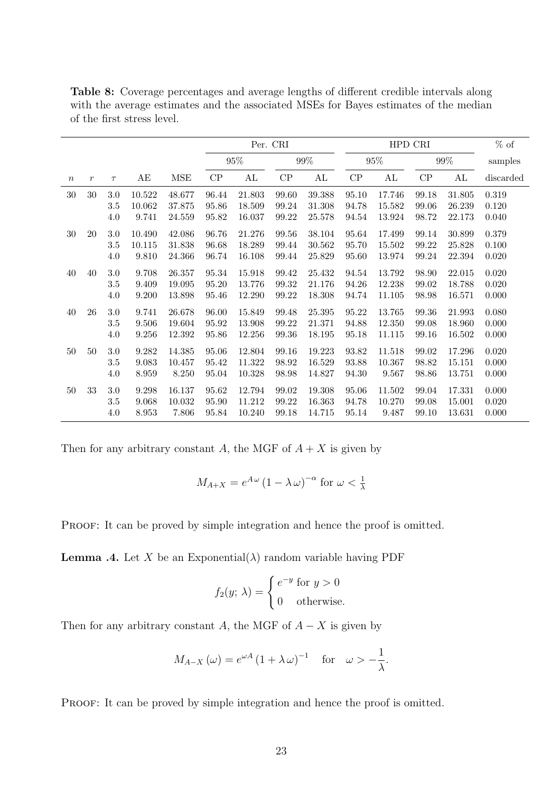|                  |                  |         |        |            |             |        | Per. CRI |            |       |        | HPD CRI |        | $%$ of    |
|------------------|------------------|---------|--------|------------|-------------|--------|----------|------------|-------|--------|---------|--------|-----------|
|                  |                  |         |        |            |             | $95\%$ |          | $99\%$     |       | $95\%$ |         | $99\%$ | samples   |
| $\boldsymbol{n}$ | $\boldsymbol{r}$ | $\tau$  | AЕ     | <b>MSE</b> | CP          | AL     | CP       | AL         | CP    | AL     | CP      | AL     | discarded |
| $30\,$           | 30               | 3.0     | 10.522 | 48.677     | 96.44       | 21.803 | 99.60    | 39.388     | 95.10 | 17.746 | 99.18   | 31.805 | 0.319     |
|                  |                  | 3.5     | 10.062 | 37.875     | 95.86       | 18.509 | 99.24    | 31.308     | 94.78 | 15.582 | 99.06   | 26.239 | 0.120     |
|                  |                  | 4.0     | 9.741  | 24.559     | 95.82       | 16.037 | 99.22    | 25.578     | 94.54 | 13.924 | 98.72   | 22.173 | 0.040     |
| $30\,$           | 20               | $3.0\,$ | 10.490 | 42.086     | 96.76       | 21.276 | 99.56    | 38.104     | 95.64 | 17.499 | 99.14   | 30.899 | 0.379     |
|                  |                  | 3.5     | 10.115 | 31.838     | 96.68       | 18.289 | 99.44    | 30.562     | 95.70 | 15.502 | 99.22   | 25.828 | 0.100     |
|                  |                  | 4.0     | 9.810  | 24.366     | 96.74       | 16.108 | 99.44    | 25.829     | 95.60 | 13.974 | 99.24   | 22.394 | 0.020     |
| $40\,$           | $40\,$           | $3.0\,$ | 9.708  | 26.357     | $\;\:95.34$ | 15.918 | 99.42    | 25.432     | 94.54 | 13.792 | 98.90   | 22.015 | 0.020     |
|                  |                  | 3.5     | 9.409  | 19.095     | 95.20       | 13.776 | 99.32    | 21.176     | 94.26 | 12.238 | 99.02   | 18.788 | 0.020     |
|                  |                  | 4.0     | 9.200  | 13.898     | 95.46       | 12.290 | 99.22    | 18.308     | 94.74 | 11.105 | 98.98   | 16.571 | 0.000     |
| $40\,$           | 26               | $3.0\,$ | 9.741  | 26.678     | 96.00       | 15.849 | 99.48    | $25.395\,$ | 95.22 | 13.765 | 99.36   | 21.993 | 0.080     |
|                  |                  | 3.5     | 9.506  | 19.604     | 95.92       | 13.908 | 99.22    | 21.371     | 94.88 | 12.350 | 99.08   | 18.960 | 0.000     |
|                  |                  | 4.0     | 9.256  | 12.392     | 95.86       | 12.256 | 99.36    | 18.195     | 95.18 | 11.115 | 99.16   | 16.502 | 0.000     |
| $50\,$           | $50\,$           | $3.0\,$ | 9.282  | 14.385     | 95.06       | 12.804 | 99.16    | 19.223     | 93.82 | 11.518 | 99.02   | 17.296 | 0.020     |
|                  |                  | $3.5\,$ | 9.083  | 10.457     | 95.42       | 11.322 | 98.92    | 16.529     | 93.88 | 10.367 | 98.82   | 15.151 | 0.000     |
|                  |                  | 4.0     | 8.959  | 8.250      | 95.04       | 10.328 | 98.98    | 14.827     | 94.30 | 9.567  | 98.86   | 13.751 | 0.000     |
| $50\,$           | 33               | $3.0\,$ | 9.298  | 16.137     | 95.62       | 12.794 | 99.02    | 19.308     | 95.06 | 11.502 | 99.04   | 17.331 | 0.000     |
|                  |                  | $3.5\,$ | 9.068  | 10.032     | 95.90       | 11.212 | 99.22    | 16.363     | 94.78 | 10.270 | 99.08   | 15.001 | 0.020     |
|                  |                  | 4.0     | 8.953  | 7.806      | 95.84       | 10.240 | 99.18    | 14.715     | 95.14 | 9.487  | 99.10   | 13.631 | 0.000     |

Table 8: Coverage percentages and average lengths of different credible intervals along with the average estimates and the associated MSEs for Bayes estimates of the median of the first stress level.

Then for any arbitrary constant A, the MGF of  $A + X$  is given by

$$
M_{A+X} = e^{A\omega} \left(1 - \lambda \omega\right)^{-\alpha} \text{ for } \omega < \frac{1}{\lambda}
$$

PROOF: It can be proved by simple integration and hence the proof is omitted.

**Lemma .4.** Let X be an Exponential( $\lambda$ ) random variable having PDF

$$
f_2(y; \lambda) = \begin{cases} e^{-y} & \text{for } y > 0 \\ 0 & \text{otherwise.} \end{cases}
$$

Then for any arbitrary constant A, the MGF of  $A - X$  is given by

$$
M_{A-X}(\omega) = e^{\omega A} (1 + \lambda \omega)^{-1}
$$
 for  $\omega > -\frac{1}{\lambda}$ .

PROOF: It can be proved by simple integration and hence the proof is omitted.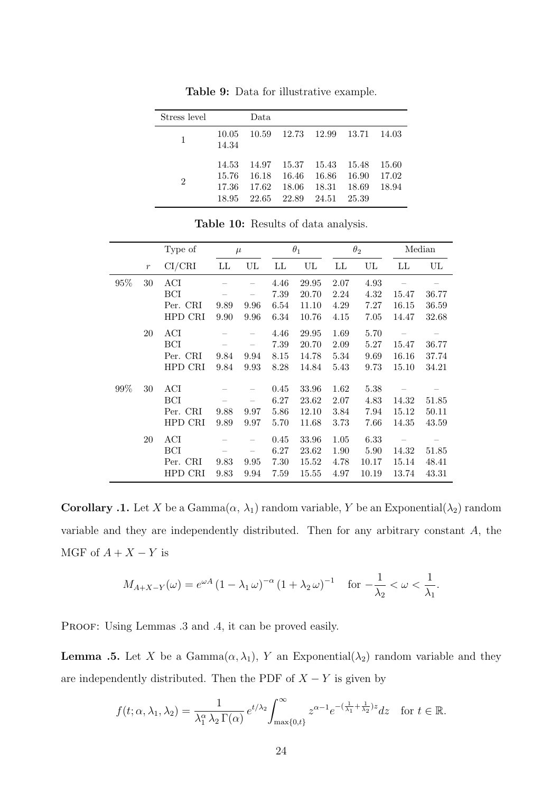| Stress level |                                  | Data                     |                                              |                          |                                  |                         |
|--------------|----------------------------------|--------------------------|----------------------------------------------|--------------------------|----------------------------------|-------------------------|
|              | 10.05<br>14.34                   |                          | 10.59 12.73 12.99 13.71                      |                          |                                  | 14.03                   |
| 2            | 14.53<br>15.76<br>17.36<br>18.95 | -16.18<br>17.62<br>22.65 | 14.97 15.37 15.43<br>16.46<br>18.06<br>22.89 | -16.86<br>18.31<br>24.51 | 15.48<br>16.90<br>18.69<br>25.39 | 15.60<br>17.02<br>18.94 |

Table 9: Data for illustrative example.

Table 10: Results of data analysis.

|     |                  | Type of    |      | $\mu$ |      | $\theta_1$ |      | $\theta_2$ |       | Median |
|-----|------------------|------------|------|-------|------|------------|------|------------|-------|--------|
|     | $\boldsymbol{r}$ | CI/CRI     | LL   | UL    | LL   | UL         | LL   | UL         | LL    | UL     |
| 95% | 30               | ACI        |      |       | 4.46 | 29.95      | 2.07 | 4.93       |       |        |
|     |                  | BCI        |      |       | 7.39 | 20.70      | 2.24 | 4.32       | 15.47 | 36.77  |
|     |                  | Per. CRI   | 9.89 | 9.96  | 6.54 | 11.10      | 4.29 | 7.27       | 16.15 | 36.59  |
|     |                  | HPD CRI    | 9.90 | 9.96  | 6.34 | 10.76      | 4.15 | 7.05       | 14.47 | 32.68  |
|     | 20               | ACI        |      |       | 4.46 | 29.95      | 1.69 | 5.70       |       |        |
|     |                  | <b>BCI</b> |      |       | 7.39 | 20.70      | 2.09 | 5.27       | 15.47 | 36.77  |
|     |                  | Per. CRI   | 9.84 | 9.94  | 8.15 | 14.78      | 5.34 | 9.69       | 16.16 | 37.74  |
|     |                  | HPD CRI    | 9.84 | 9.93  | 8.28 | 14.84      | 5.43 | 9.73       | 15.10 | 34.21  |
|     |                  |            |      |       |      |            |      |            |       |        |
| 99% | 30               | ACI        |      |       | 0.45 | 33.96      | 1.62 | 5.38       |       |        |
|     |                  | BCI        |      |       | 6.27 | 23.62      | 2.07 | 4.83       | 14.32 | 51.85  |
|     |                  | Per. CRI   | 9.88 | 9.97  | 5.86 | 12.10      | 3.84 | 7.94       | 15.12 | 50.11  |
|     |                  | HPD CRI    | 9.89 | 9.97  | 5.70 | 11.68      | 3.73 | 7.66       | 14.35 | 43.59  |
|     | 20               | ACI        |      |       | 0.45 | 33.96      | 1.05 | 6.33       |       |        |
|     |                  | BCI        |      |       | 6.27 | 23.62      | 1.90 | 5.90       | 14.32 | 51.85  |
|     |                  | Per. CRI   | 9.83 | 9.95  | 7.30 | 15.52      | 4.78 | 10.17      | 15.14 | 48.41  |
|     |                  | HPD CRI    | 9.83 | 9.94  | 7.59 | 15.55      | 4.97 | 10.19      | 13.74 | 43.31  |

**Corollary .1.** Let X be a Gamma $(\alpha, \lambda_1)$  random variable, Y be an Exponential $(\lambda_2)$  random variable and they are independently distributed. Then for any arbitrary constant A, the MGF of  $A + X - Y$  is

$$
M_{A+X-Y}(\omega) = e^{\omega A} \left(1 - \lambda_1 \omega\right)^{-\alpha} \left(1 + \lambda_2 \omega\right)^{-1} \quad \text{for } -\frac{1}{\lambda_2} < \omega < \frac{1}{\lambda_1}.
$$

PROOF: Using Lemmas .3 and .4, it can be proved easily.

**Lemma .5.** Let X be a Gamma $(\alpha, \lambda_1)$ , Y an Exponential $(\lambda_2)$  random variable and they are independently distributed. Then the PDF of  $X - Y$  is given by

$$
f(t; \alpha, \lambda_1, \lambda_2) = \frac{1}{\lambda_1^{\alpha} \lambda_2 \Gamma(\alpha)} e^{t/\lambda_2} \int_{\max\{0, t\}}^{\infty} z^{\alpha - 1} e^{-\left(\frac{1}{\lambda_1} + \frac{1}{\lambda_2}\right)z} dz \quad \text{for } t \in \mathbb{R}.
$$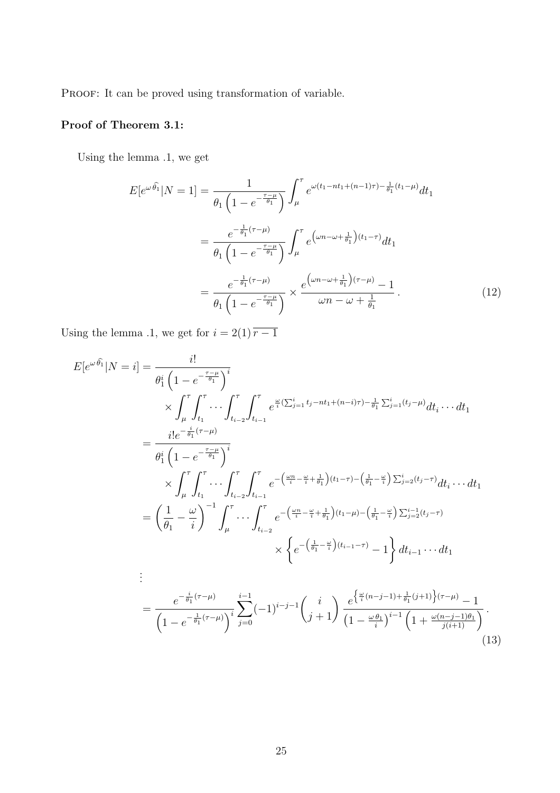PROOF: It can be proved using transformation of variable.

## Proof of Theorem 3.1:

Using the lemma .1, we get

$$
E[e^{\omega \hat{\theta_1}}|N=1] = \frac{1}{\theta_1 \left(1 - e^{-\frac{\tau - \mu}{\theta_1}}\right)} \int_{\mu}^{\tau} e^{\omega(t_1 - nt_1 + (n-1)\tau) - \frac{1}{\theta_1}(t_1 - \mu)} dt_1
$$
  

$$
= \frac{e^{-\frac{1}{\theta_1}(\tau - \mu)}}{\theta_1 \left(1 - e^{-\frac{\tau - \mu}{\theta_1}}\right)} \int_{\mu}^{\tau} e^{\left(\omega n - \omega + \frac{1}{\theta_1}\right)(t_1 - \tau)} dt_1
$$
  

$$
= \frac{e^{-\frac{1}{\theta_1}(\tau - \mu)}}{\theta_1 \left(1 - e^{-\frac{\tau - \mu}{\theta_1}}\right)} \times \frac{e^{\left(\omega n - \omega + \frac{1}{\theta_1}\right)(\tau - \mu)} - 1}{\omega n - \omega + \frac{1}{\theta_1}}.
$$
 (12)

Using the lemma .1, we get for  $i = 2(1) \overline{r-1}$ 

$$
E[e^{\omega \hat{\theta_1}}|N=i] = \frac{i!}{\theta_1^i \left(1 - e^{-\frac{\tau - \mu}{\theta_1}}\right)^i}
$$
  
\n
$$
\times \int_{\mu}^{\tau} \int_{t_1}^{\tau} \cdots \int_{t_{i-2}}^{\tau} \int_{t_{i-1}}^{\tau} e^{\frac{\omega}{i} (\sum_{j=1}^{i} t_j - nt_1 + (n-i)\tau) - \frac{1}{\theta_1} \sum_{j=1}^{i} (t_j - \mu)} dt_i \cdots dt_1
$$
  
\n
$$
= \frac{i! e^{-\frac{i}{\theta_1} (\tau - \mu)}}{\theta_1^i \left(1 - e^{-\frac{\tau - \mu}{\theta_1}}\right)^i}
$$
  
\n
$$
\times \int_{\mu}^{\tau} \int_{t_1}^{\tau} \cdots \int_{t_{i-2}}^{\tau} \int_{t_{i-1}}^{\tau} e^{-\left(\frac{\omega n}{i} - \frac{\omega}{i} + \frac{1}{\theta_1}\right)(t_1 - \tau) - \left(\frac{1}{\theta_1} - \frac{\omega}{i}\right) \sum_{j=2}^{i} (t_j - \tau)} dt_i \cdots dt_1
$$
  
\n
$$
= \left(\frac{1}{\theta_1} - \frac{\omega}{i}\right)^{-1} \int_{\mu}^{\tau} \cdots \int_{t_{i-2}}^{\tau} e^{-\left(\frac{\omega n}{i} - \frac{\omega}{i} + \frac{1}{\theta_1}\right)(t_1 - \mu) - \left(\frac{1}{\theta_1} - \frac{\omega}{i}\right) \sum_{j=2}^{i-1} (t_j - \tau)} dt_1 \cdots dt_1
$$
  
\n
$$
\vdots
$$
  
\n
$$
= \frac{e^{-\frac{i}{\theta_1} (\tau - \mu)}}{\left(1 - e^{-\frac{1}{\theta_1} (\tau - \mu)}\right)^i} \sum_{j=0}^{i-1} (-1)^{i-j-1} \left(\frac{i}{j+1}\right) \frac{e^{\left\{\frac{\omega}{i} (n-j-1) + \frac{1}{\theta_1} (j+1)\right\} (\tau - \mu)} }{\left(1 - \frac{\omega}{i})^{i-1} \left(1 + \frac{\omega(n-j-1)\theta_1}{j(i+1)}\right)}.
$$
  
\n(1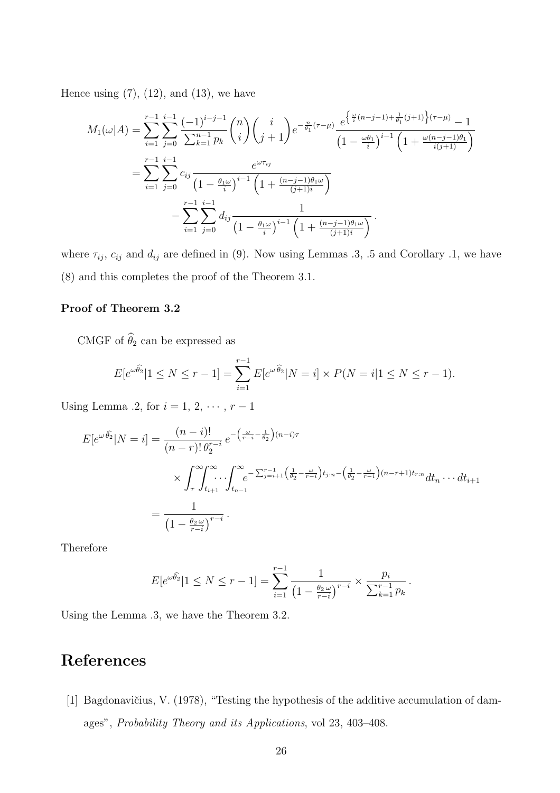Hence using  $(7)$ ,  $(12)$ , and  $(13)$ , we have

$$
M_{1}(\omega|A) = \sum_{i=1}^{r-1} \sum_{j=0}^{i-1} \frac{(-1)^{i-j-1}}{\sum_{k=1}^{n-1} p_{k}} {n \choose i} {i \choose j+1} e^{-\frac{n}{\theta_{1}}(\tau-\mu)} \frac{e^{\left\{\frac{\omega}{i}(n-j-1)+\frac{1}{\theta_{1}}(j+1)\right\}(\tau-\mu)}{(1-\frac{\omega\theta_{1}}{i})^{i-1} \left(1+\frac{\omega(n-j-1)\theta_{1}}{i(j+1)}\right)}
$$
  

$$
= \sum_{i=1}^{r-1} \sum_{j=0}^{i-1} c_{ij} \frac{e^{\omega \tau_{ij}}}{(1-\frac{\theta_{1}\omega}{i})^{i-1} \left(1+\frac{(n-j-1)\theta_{1}\omega}{(j+1)i}\right)}
$$
  

$$
- \sum_{i=1}^{r-1} \sum_{j=0}^{i-1} d_{ij} \frac{1}{(1-\frac{\theta_{1}\omega}{i})^{i-1} \left(1+\frac{(n-j-1)\theta_{1}\omega}{(j+1)i}\right)}.
$$

where  $\tau_{ij}$ ,  $c_{ij}$  and  $d_{ij}$  are defined in (9). Now using Lemmas .3, .5 and Corollary .1, we have (8) and this completes the proof of the Theorem 3.1.

#### Proof of Theorem 3.2

CMGF of  $\widehat{\theta}_2$  can be expressed as

$$
E[e^{\omega \hat{\theta}_2} | 1 \le N \le r - 1] = \sum_{i=1}^{r-1} E[e^{\omega \hat{\theta}_2} | N = i] \times P(N = i | 1 \le N \le r - 1).
$$

Using Lemma .2, for  $i = 1, 2, \dots, r - 1$ 

$$
E[e^{\omega \widehat{\theta_2}}|N=i] = \frac{(n-i)!}{(n-r)! \theta_2^{r-i}} e^{-\left(\frac{\omega}{r-i} - \frac{1}{\theta_2}\right)(n-i)\tau} \times \int_{\tau}^{\infty} \int_{t_{i+1}}^{\infty} \int_{t_{n-1}}^{\infty} e^{-\sum_{j=i+1}^{r-1} \left(\frac{1}{\theta_2} - \frac{\omega}{r-i}\right)t_{j:n} - \left(\frac{1}{\theta_2} - \frac{\omega}{r-i}\right)(n-r+1)t_{r:n}} dt_n \cdots dt_{i+1}
$$

$$
= \frac{1}{\left(1 - \frac{\theta_2 \omega}{r-i}\right)^{r-i}}.
$$

Therefore

$$
E[e^{\omega \widehat{\theta_2}} | 1 \le N \le r - 1] = \sum_{i=1}^{r-1} \frac{1}{\left(1 - \frac{\theta_2 \omega}{r - i}\right)^{r - i}} \times \frac{p_i}{\sum_{k=1}^{r-1} p_k}.
$$

Using the Lemma .3, we have the Theorem 3.2.

# References

[1] Bagdonavičius, V. (1978), "Testing the hypothesis of the additive accumulation of damages", Probability Theory and its Applications, vol 23, 403–408.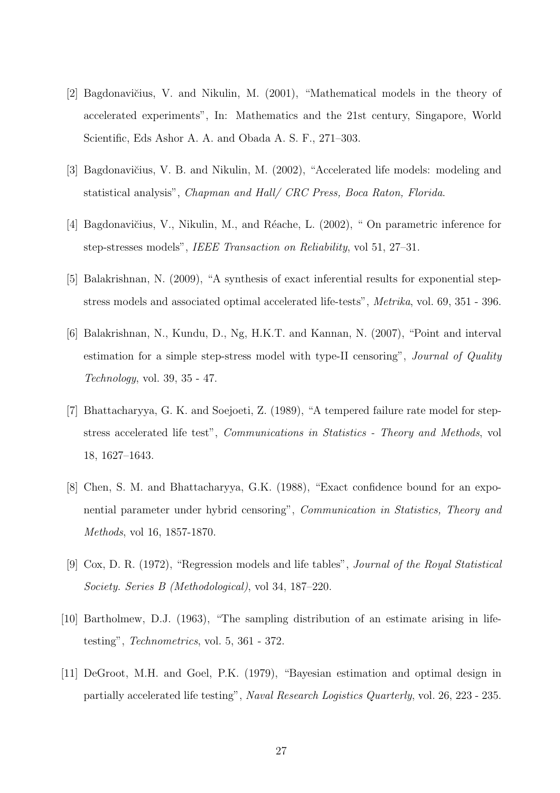- [2] Bagdonavičius, V. and Nikulin, M. (2001), "Mathematical models in the theory of accelerated experiments", In: Mathematics and the 21st century, Singapore, World Scientific, Eds Ashor A. A. and Obada A. S. F., 271–303.
- [3] Bagdonavičius, V. B. and Nikulin, M. (2002), "Accelerated life models: modeling and statistical analysis", Chapman and Hall/ CRC Press, Boca Raton, Florida.
- [4] Bagdonavičius, V., Nikulin, M., and Réache, L. (2002), " On parametric inference for step-stresses models", IEEE Transaction on Reliability, vol 51, 27–31.
- [5] Balakrishnan, N. (2009), "A synthesis of exact inferential results for exponential stepstress models and associated optimal accelerated life-tests", Metrika, vol. 69, 351 - 396.
- [6] Balakrishnan, N., Kundu, D., Ng, H.K.T. and Kannan, N. (2007), "Point and interval estimation for a simple step-stress model with type-II censoring", Journal of Quality Technology, vol. 39, 35 - 47.
- [7] Bhattacharyya, G. K. and Soejoeti, Z. (1989), "A tempered failure rate model for stepstress accelerated life test", Communications in Statistics - Theory and Methods, vol 18, 1627–1643.
- [8] Chen, S. M. and Bhattacharyya, G.K. (1988), "Exact confidence bound for an exponential parameter under hybrid censoring", Communication in Statistics, Theory and Methods, vol 16, 1857-1870.
- [9] Cox, D. R. (1972), "Regression models and life tables", Journal of the Royal Statistical Society. Series B (Methodological), vol 34, 187–220.
- [10] Bartholmew, D.J. (1963), "The sampling distribution of an estimate arising in lifetesting", Technometrics, vol. 5, 361 - 372.
- [11] DeGroot, M.H. and Goel, P.K. (1979), "Bayesian estimation and optimal design in partially accelerated life testing", Naval Research Logistics Quarterly, vol. 26, 223 - 235.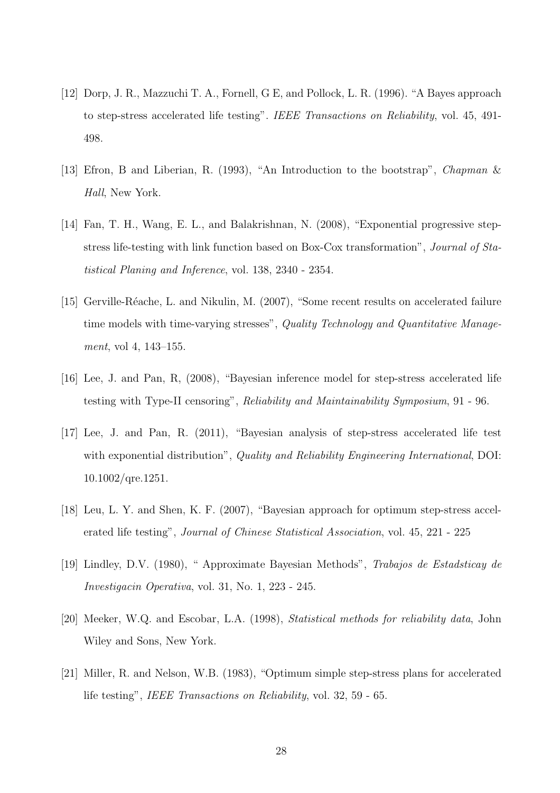- [12] Dorp, J. R., Mazzuchi T. A., Fornell, G E, and Pollock, L. R. (1996). "A Bayes approach to step-stress accelerated life testing". IEEE Transactions on Reliability, vol. 45, 491- 498.
- [13] Efron, B and Liberian, R. (1993), "An Introduction to the bootstrap", Chapman & Hall, New York.
- [14] Fan, T. H., Wang, E. L., and Balakrishnan, N. (2008), "Exponential progressive stepstress life-testing with link function based on Box-Cox transformation", Journal of Statistical Planing and Inference, vol. 138, 2340 - 2354.
- [15] Gerville-Réache, L. and Nikulin, M. (2007), "Some recent results on accelerated failure time models with time-varying stresses", Quality Technology and Quantitative Management, vol 4, 143–155.
- [16] Lee, J. and Pan, R, (2008), "Bayesian inference model for step-stress accelerated life testing with Type-II censoring", Reliability and Maintainability Symposium, 91 - 96.
- [17] Lee, J. and Pan, R. (2011), "Bayesian analysis of step-stress accelerated life test with exponential distribution", Quality and Reliability Engineering International, DOI: 10.1002/qre.1251.
- [18] Leu, L. Y. and Shen, K. F. (2007), "Bayesian approach for optimum step-stress accelerated life testing", Journal of Chinese Statistical Association, vol. 45, 221 - 225
- [19] Lindley, D.V. (1980), " Approximate Bayesian Methods", Trabajos de Estadsticay de Investigacin Operativa, vol. 31, No. 1, 223 - 245.
- [20] Meeker, W.Q. and Escobar, L.A. (1998), Statistical methods for reliability data, John Wiley and Sons, New York.
- [21] Miller, R. and Nelson, W.B. (1983), "Optimum simple step-stress plans for accelerated life testing", IEEE Transactions on Reliability, vol. 32, 59 - 65.